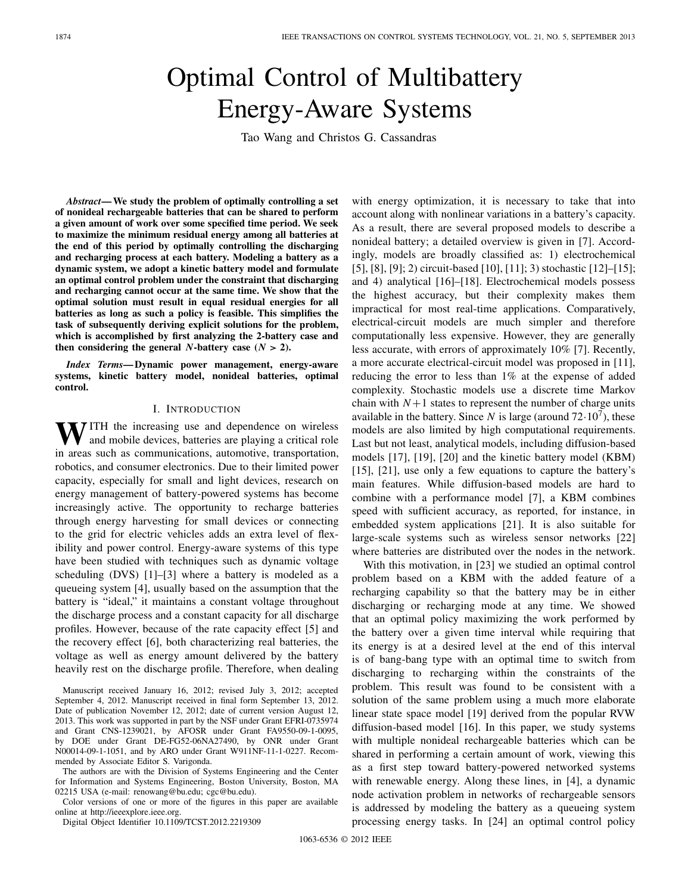# Optimal Control of Multibattery Energy-Aware Systems

Tao Wang and Christos G. Cassandras

*Abstract***— We study the problem of optimally controlling a set of nonideal rechargeable batteries that can be shared to perform a given amount of work over some specified time period. We seek to maximize the minimum residual energy among all batteries at the end of this period by optimally controlling the discharging and recharging process at each battery. Modeling a battery as a dynamic system, we adopt a kinetic battery model and formulate an optimal control problem under the constraint that discharging and recharging cannot occur at the same time. We show that the optimal solution must result in equal residual energies for all batteries as long as such a policy is feasible. This simplifies the task of subsequently deriving explicit solutions for the problem, which is accomplished by first analyzing the 2-battery case and then considering the general** *N***-battery case (** $N > 2$ **).** 

*Index Terms***— Dynamic power management, energy-aware systems, kinetic battery model, nonideal batteries, optimal control.**

#### I. INTRODUCTION

WITH the increasing use and dependence on wireless and mobile devices, batteries are playing a critical role in areas such as communications, automotive, transportation, robotics, and consumer electronics. Due to their limited power capacity, especially for small and light devices, research on energy management of battery-powered systems has become increasingly active. The opportunity to recharge batteries through energy harvesting for small devices or connecting to the grid for electric vehicles adds an extra level of flexibility and power control. Energy-aware systems of this type have been studied with techniques such as dynamic voltage scheduling (DVS) [1]–[3] where a battery is modeled as a queueing system [4], usually based on the assumption that the battery is "ideal," it maintains a constant voltage throughout the discharge process and a constant capacity for all discharge profiles. However, because of the rate capacity effect [5] and the recovery effect [6], both characterizing real batteries, the voltage as well as energy amount delivered by the battery heavily rest on the discharge profile. Therefore, when dealing

Manuscript received January 16, 2012; revised July 3, 2012; accepted September 4, 2012. Manuscript received in final form September 13, 2012. Date of publication November 12, 2012; date of current version August 12, 2013. This work was supported in part by the NSF under Grant EFRI-0735974 and Grant CNS-1239021, by AFOSR under Grant FA9550-09-1-0095, by DOE under Grant DE-FG52-06NA27490, by ONR under Grant N00014-09-1-1051, and by ARO under Grant W911NF-11-1-0227. Recommended by Associate Editor S. Varigonda.

The authors are with the Division of Systems Engineering and the Center for Information and Systems Engineering, Boston University, Boston, MA 02215 USA (e-mail: renowang@bu.edu; cgc@bu.edu).

Color versions of one or more of the figures in this paper are available online at http://ieeexplore.ieee.org.

Digital Object Identifier 10.1109/TCST.2012.2219309

with energy optimization, it is necessary to take that into account along with nonlinear variations in a battery's capacity. As a result, there are several proposed models to describe a nonideal battery; a detailed overview is given in [7]. Accordingly, models are broadly classified as: 1) electrochemical [5], [8], [9]; 2) circuit-based [10], [11]; 3) stochastic [12]–[15]; and 4) analytical [16]–[18]. Electrochemical models possess the highest accuracy, but their complexity makes them impractical for most real-time applications. Comparatively, electrical-circuit models are much simpler and therefore computationally less expensive. However, they are generally less accurate, with errors of approximately 10% [7]. Recently, a more accurate electrical-circuit model was proposed in [11], reducing the error to less than 1% at the expense of added complexity. Stochastic models use a discrete time Markov chain with  $N+1$  states to represent the number of charge units available in the battery. Since *N* is large (around  $72.10<sup>7</sup>$ ), these models are also limited by high computational requirements. Last but not least, analytical models, including diffusion-based models [17], [19], [20] and the kinetic battery model (KBM) [15], [21], use only a few equations to capture the battery's main features. While diffusion-based models are hard to combine with a performance model [7], a KBM combines speed with sufficient accuracy, as reported, for instance, in embedded system applications [21]. It is also suitable for large-scale systems such as wireless sensor networks [22] where batteries are distributed over the nodes in the network.

With this motivation, in [23] we studied an optimal control problem based on a KBM with the added feature of a recharging capability so that the battery may be in either discharging or recharging mode at any time. We showed that an optimal policy maximizing the work performed by the battery over a given time interval while requiring that its energy is at a desired level at the end of this interval is of bang-bang type with an optimal time to switch from discharging to recharging within the constraints of the problem. This result was found to be consistent with a solution of the same problem using a much more elaborate linear state space model [19] derived from the popular RVW diffusion-based model [16]. In this paper, we study systems with multiple nonideal rechargeable batteries which can be shared in performing a certain amount of work, viewing this as a first step toward battery-powered networked systems with renewable energy. Along these lines, in [4], a dynamic node activation problem in networks of rechargeable sensors is addressed by modeling the battery as a queueing system processing energy tasks. In [24] an optimal control policy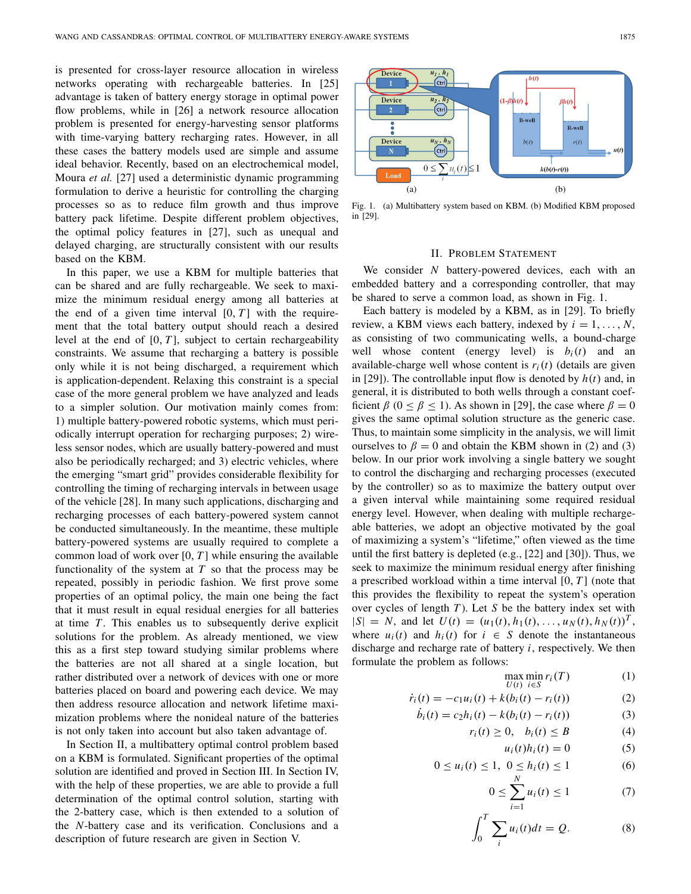is presented for cross-layer resource allocation in wireless networks operating with rechargeable batteries. In [25] advantage is taken of battery energy storage in optimal power flow problems, while in [26] a network resource allocation problem is presented for energy-harvesting sensor platforms with time-varying battery recharging rates. However, in all these cases the battery models used are simple and assume ideal behavior. Recently, based on an electrochemical model, Moura *et al.* [27] used a deterministic dynamic programming formulation to derive a heuristic for controlling the charging processes so as to reduce film growth and thus improve battery pack lifetime. Despite different problem objectives, the optimal policy features in [27], such as unequal and delayed charging, are structurally consistent with our results based on the KBM.

In this paper, we use a KBM for multiple batteries that can be shared and are fully rechargeable. We seek to maximize the minimum residual energy among all batteries at the end of a given time interval  $[0, T]$  with the requirement that the total battery output should reach a desired level at the end of  $[0, T]$ , subject to certain rechargeability constraints. We assume that recharging a battery is possible only while it is not being discharged, a requirement which is application-dependent. Relaxing this constraint is a special case of the more general problem we have analyzed and leads to a simpler solution. Our motivation mainly comes from: 1) multiple battery-powered robotic systems, which must periodically interrupt operation for recharging purposes; 2) wireless sensor nodes, which are usually battery-powered and must also be periodically recharged; and 3) electric vehicles, where the emerging "smart grid" provides considerable flexibility for controlling the timing of recharging intervals in between usage of the vehicle [28]. In many such applications, discharging and recharging processes of each battery-powered system cannot be conducted simultaneously. In the meantime, these multiple battery-powered systems are usually required to complete a common load of work over  $[0, T]$  while ensuring the available functionality of the system at *T* so that the process may be repeated, possibly in periodic fashion. We first prove some properties of an optimal policy, the main one being the fact that it must result in equal residual energies for all batteries at time *T*. This enables us to subsequently derive explicit solutions for the problem. As already mentioned, we view this as a first step toward studying similar problems where the batteries are not all shared at a single location, but rather distributed over a network of devices with one or more batteries placed on board and powering each device. We may then address resource allocation and network lifetime maximization problems where the nonideal nature of the batteries is not only taken into account but also taken advantage of.

In Section II, a multibattery optimal control problem based on a KBM is formulated. Significant properties of the optimal solution are identified and proved in Section III. In Section IV, with the help of these properties, we are able to provide a full determination of the optimal control solution, starting with the 2-battery case, which is then extended to a solution of the *N*-battery case and its verification. Conclusions and a description of future research are given in Section V.

 $\frac{u_1, h_1}{\text{[Curl]}}$ Device  $h(t)$  $(1-\beta)h(t)$ Device  $\beta h(t)$  $\overline{2}$ **B-well** R-well Device  $b(t)$  $r(t)$  $[\text{ctrl}]$  $u(t)$  $0 \leq \sum$  $\vert u_i(t) \vert \leq 1$  $k(b(t)-r(t))$ Load  $(a)$  (b)

Fig. 1. (a) Multibattery system based on KBM. (b) Modified KBM proposed in [29].

#### II. PROBLEM STATEMENT

We consider *N* battery-powered devices, each with an embedded battery and a corresponding controller, that may be shared to serve a common load, as shown in Fig. 1.

Each battery is modeled by a KBM, as in [29]. To briefly review, a KBM views each battery, indexed by  $i = 1, \ldots, N$ , as consisting of two communicating wells, a bound-charge well whose content (energy level) is  $b_i(t)$  and an available-charge well whose content is  $r_i(t)$  (details are given in [29]). The controllable input flow is denoted by  $h(t)$  and, in general, it is distributed to both wells through a constant coefficient  $\beta$  (0  $\leq \beta \leq$  1). As shown in [29], the case where  $\beta = 0$ gives the same optimal solution structure as the generic case. Thus, to maintain some simplicity in the analysis, we will limit ourselves to  $\beta = 0$  and obtain the KBM shown in (2) and (3) below. In our prior work involving a single battery we sought to control the discharging and recharging processes (executed by the controller) so as to maximize the battery output over a given interval while maintaining some required residual energy level. However, when dealing with multiple rechargeable batteries, we adopt an objective motivated by the goal of maximizing a system's "lifetime," often viewed as the time until the first battery is depleted (e.g., [22] and [30]). Thus, we seek to maximize the minimum residual energy after finishing a prescribed workload within a time interval [0, *T* ] (note that this provides the flexibility to repeat the system's operation over cycles of length *T* ). Let *S* be the battery index set with  $|S| = N$ , and let  $U(t) = (u_1(t), h_1(t), \ldots, u_N(t), h_N(t))^T$ , where  $u_i(t)$  and  $h_i(t)$  for  $i \in S$  denote the instantaneous discharge and recharge rate of battery *i*, respectively. We then formulate the problem as follows:

$$
\max_{U(t)} \min_{i \in S} r_i(T) \tag{1}
$$

$$
\dot{r}_i(t) = -c_1 u_i(t) + k(b_i(t) - r_i(t))
$$
\n(2)

$$
\dot{b}_i(t) = c_2 h_i(t) - k(b_i(t) - r_i(t))
$$
\n(3)

$$
r_i(t) \ge 0, \quad b_i(t) \le B \tag{4}
$$

 $u_i(t)h_i(t) = 0$  (5)

$$
0 \le u_i(t) \le 1, \ 0 \le h_i(t) \le 1 \tag{6}
$$

$$
0 \le \sum_{i=1} u_i(t) \le 1 \tag{7}
$$

$$
\int_0^T \sum_i u_i(t)dt = Q.
$$
 (8)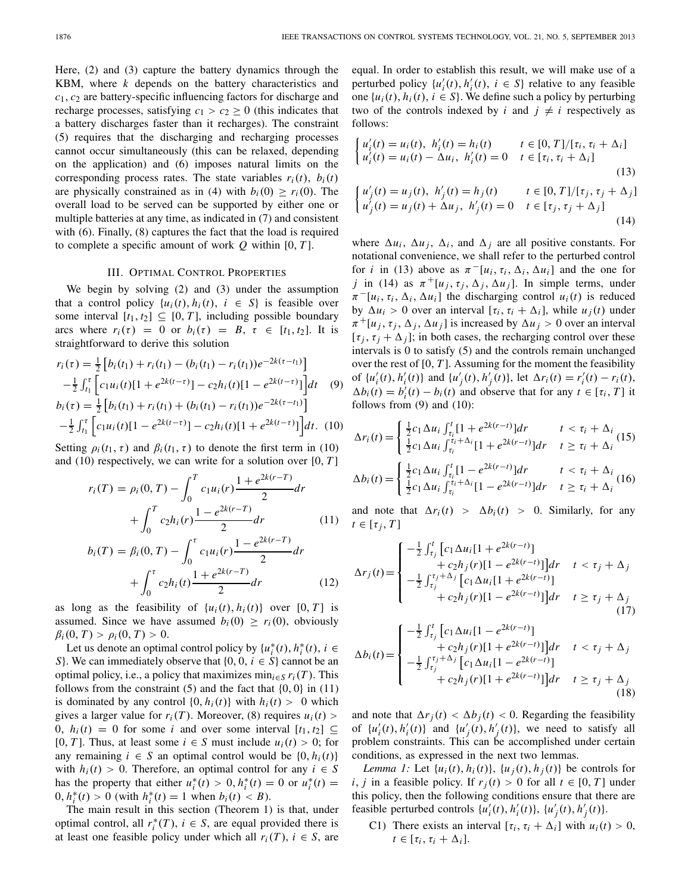Here, (2) and (3) capture the battery dynamics through the KBM, where *k* depends on the battery characteristics and *c*1, *c*<sup>2</sup> are battery-specific influencing factors for discharge and recharge processes, satisfying  $c_1 > c_2 \geq 0$  (this indicates that a battery discharges faster than it recharges). The constraint (5) requires that the discharging and recharging processes cannot occur simultaneously (this can be relaxed, depending on the application) and (6) imposes natural limits on the corresponding process rates. The state variables  $r_i(t)$ ,  $b_i(t)$ are physically constrained as in (4) with  $b_i(0) \ge r_i(0)$ . The overall load to be served can be supported by either one or multiple batteries at any time, as indicated in (7) and consistent with (6). Finally, (8) captures the fact that the load is required to complete a specific amount of work *Q* within [0, *T* ].

### III. OPTIMAL CONTROL PROPERTIES

We begin by solving (2) and (3) under the assumption that a control policy  $\{u_i(t), h_i(t), i \in S\}$  is feasible over some interval  $[t_1, t_2] \subseteq [0, T]$ , including possible boundary arcs where  $r_i(\tau) = 0$  or  $b_i(\tau) = B$ ,  $\tau \in [t_1, t_2]$ . It is straightforward to derive this solution

$$
r_i(\tau) = \frac{1}{2} \left[ b_i(t_1) + r_i(t_1) - (b_i(t_1) - r_i(t_1))e^{-2k(\tau - t_1)} \right]
$$
  
\n
$$
- \frac{1}{2} \int_{t_1}^{\tau} \left[ c_1 u_i(t) [1 + e^{2k(t-\tau)}] - c_2 h_i(t) [1 - e^{2k(t-\tau)}] \right] dt
$$
(9)  
\n
$$
b_i(\tau) = \frac{1}{2} \left[ b_i(t_1) + r_i(t_1) + (b_i(t_1) - r_i(t_1))e^{-2k(\tau - t_1)} \right]
$$
  
\n
$$
- \frac{1}{2} \int_{t_1}^{\tau} \left[ c_1 u_i(t) [1 - e^{2k(t-\tau)}] - c_2 h_i(t) [1 + e^{2k(t-\tau)}] \right] dt.
$$
(10)

Setting  $\rho_i(t_1, \tau)$  and  $\beta_i(t_1, \tau)$  to denote the first term in (10) and (10) respectively, we can write for a solution over [0, *T* ]

$$
r_i(T) = \rho_i(0, T) - \int_0^T c_1 u_i(r) \frac{1 + e^{2k(r - T)}}{2} dr
$$

$$
+ \int_0^T c_2 h_i(r) \frac{1 - e^{2k(r - T)}}{2} dr \qquad (11)
$$

$$
b_i(T) = \beta_i(0, T) - \int_0^{\tau} c_1 u_i(r) \frac{1 - e^{2k(r - T)}}{2} dr
$$

$$
+ \int_0^{\tau} c_2 h_i(t) \frac{1 + e^{2k(r - T)}}{2} dr \qquad (12)
$$

as long as the feasibility of  $\{u_i(t), h_i(t)\}$  over  $[0, T]$  is assumed. Since we have assumed  $b_i(0) \ge r_i(0)$ , obviously  $\beta_i(0, T) > \rho_i(0, T) > 0.$ 

Let us denote an optimal control policy by  $\{u_i^*(t), h_i^*(t), i \in$ *S*}. We can immediately observe that  $\{0, 0, i \in S\}$  cannot be an optimal policy, i.e., a policy that maximizes min<sub>i∈*S*</sub>  $r_i(T)$ . This follows from the constraint  $(5)$  and the fact that  $\{0, 0\}$  in  $(11)$ is dominated by any control  $\{0, h_i(t)\}$  with  $h_i(t) > 0$  which gives a larger value for  $r_i(T)$ . Moreover, (8) requires  $u_i(t)$  > 0,  $h_i(t) = 0$  for some *i* and over some interval  $[t_1, t_2] \subseteq$ [0, *T*]. Thus, at least some  $i \in S$  must include  $u_i(t) > 0$ ; for any remaining  $i \in S$  an optimal control would be  $\{0, h_i(t)\}$ with  $h_i(t) > 0$ . Therefore, an optimal control for any  $i \in S$ has the property that either  $u_i^*(t) > 0$ ,  $h_i^*(t) = 0$  or  $u_i^*(t) =$ 0,  $h_i^*(t) > 0$  (with  $h_i^*(t) = 1$  when  $b_i(t) < B$ ).

The main result in this section (Theorem 1) is that, under optimal control, all  $r_i^*(T)$ ,  $i \in S$ , are equal provided there is at least one feasible policy under which all  $r_i(T)$ ,  $i \in S$ , are equal. In order to establish this result, we will make use of a perturbed policy  $\{u'_i(t), h'_i(t), i \in S\}$  relative to any feasible one  $\{u_i(t), h_i(t), i \in S\}$ . We define such a policy by perturbing two of the controls indexed by *i* and  $j \neq i$  respectively as follows:

$$
\begin{cases}\n u_i'(t) = u_i(t), & h_i'(t) = h_i(t) & t \in [0, T]/[\tau_i, \tau_i + \Delta_i] \\
 u_i'(t) = u_i(t) - \Delta u_i, & h_i'(t) = 0 & t \in [\tau_i, \tau_i + \Delta_i]\n\end{cases}
$$
\n(13)

$$
\begin{cases}\n u'_{j}(t) = u_{j}(t), & h'_{j}(t) = h_{j}(t) & t \in [0, T]/[\tau_{j}, \tau_{j} + \Delta_{j}] \\
 u'_{j}(t) = u_{j}(t) + \Delta u_{j}, & h'_{j}(t) = 0 & t \in [\tau_{j}, \tau_{j} + \Delta_{j}] \n\end{cases}
$$
\n(14)

where  $\Delta u_i$ ,  $\Delta u_j$ ,  $\Delta i$ , and  $\Delta j$  are all positive constants. For notational convenience, we shall refer to the perturbed control for *i* in (13) above as  $\pi^{-}[u_i, \tau_i, \Delta_i, \Delta u_i]$  and the one for *j* in (14) as  $\pi^+[\mu_j, \tau_j, \Delta_j, \Delta \mu_j]$ . In simple terms, under  $\pi^{-}[u_i, \tau_i, \Delta_i, \Delta u_i]$  the discharging control  $u_i(t)$  is reduced by  $\Delta u_i > 0$  over an interval  $[\tau_i, \tau_i + \Delta_i]$ , while  $u_j(t)$  under  $\pi^+$ [ $u_i, \tau_i, \Delta_i, \Delta u_i$ ] is increased by  $\Delta u_i > 0$  over an interval  $[\tau_i, \tau_j + \Delta_j]$ ; in both cases, the recharging control over these intervals is 0 to satisfy (5) and the controls remain unchanged over the rest of [0, *T* ]. Assuming for the moment the feasibility of  $\{u'_i(t), h'_i(t)\}\$  and  $\{u'_j(t), h'_j(t)\}\$ , let  $\Delta r_i(t) = r'_i(t) - r_i(t)$ ,  $\Delta b_i(t) = b'_i(t) - b_i(t)$  and observe that for any  $t \in [\tau_i, T]$  it follows from (9) and (10):

$$
\Delta r_i(t) = \begin{cases}\n\frac{1}{2}c_1 \Delta u_i \int_{\tau_i}^t [1 + e^{2k(r-t)}] dr & t < \tau_i + \Delta_i \\
\frac{1}{2}c_1 \Delta u_i \int_{\tau_i}^{\tau_i + \Delta_i} [1 + e^{2k(r-t)}] dr & t \ge \tau_i + \Delta_i\n\end{cases} (15)
$$
\n
$$
\Delta b_i(t) = \begin{cases}\n\frac{1}{2}c_1 \Delta u_i \int_{\tau_i}^t [1 - e^{2k(r-t)}] dr & t < \tau_i + \Delta_i \\
\frac{1}{2}c_1 \Delta u_i \int_{\tau_i}^{\tau_i + \Delta_i} [1 - e^{2k(r-t)}] dr & t \ge \tau_i + \Delta_i\n\end{cases} (16)
$$

and note that  $\Delta r_i(t) > \Delta b_i(t) > 0$ . Similarly, for any  $t \in [\tau_i, T]$ 

$$
\Delta r_j(t) = \begin{cases}\n-\frac{1}{2} \int_{\tau_j}^t \left[ c_1 \Delta u_i [1 + e^{2k(r-t)}] \right. \\
\left. + c_2 h_j(r) [1 - e^{2k(r-t)}] \right] dr & t < \tau_j + \Delta_j \\
-\frac{1}{2} \int_{\tau_j}^{\tau_j + \Delta_j} \left[ c_1 \Delta u_i [1 + e^{2k(r-t)}] \right. \\
\left. + c_2 h_j(r) [1 - e^{2k(r-t)}] \right] dr & t \ge \tau_j + \Delta_j \\
\end{cases} \tag{17}
$$

$$
\Delta b_i(t) = \begin{cases}\n-\frac{1}{2} \int_{\tau_j}^t \left[ c_1 \Delta u_i [1 - e^{2k(r-t)}] \right. \\
\left. + c_2 h_j(r) [1 + e^{2k(r-t)}] \right] dr & t < \tau_j + \Delta_j \\
-\frac{1}{2} \int_{\tau_j}^{\tau_j + \Delta_j} \left[ c_1 \Delta u_i [1 - e^{2k(r-t)}] \right. \\
\left. + c_2 h_j(r) [1 + e^{2k(r-t)}] \right] dr & t \ge \tau_j + \Delta_j \\
\end{cases} \tag{18}
$$

and note that  $\Delta r_i(t) < \Delta b_i(t) < 0$ . Regarding the feasibility of  $\{u'_i(t), h'_i(t)\}$  and  $\{u'_j(t), h'_j(t)\}$ , we need to satisfy all problem constraints. This can be accomplished under certain conditions, as expressed in the next two lemmas.

*Lemma 1:* Let  $\{u_i(t), h_i(t)\}, \{u_j(t), h_j(t)\}\$  be controls for *i*, *j* in a feasible policy. If  $r_j(t) > 0$  for all  $t \in [0, T]$  under this policy, then the following conditions ensure that there are feasible perturbed controls  $\{u'_i(t), h'_i(t)\}, \{u'_j(t), h'_j(t)\}.$ 

C1) There exists an interval  $[\tau_i, \tau_i + \Delta_i]$  with  $u_i(t) > 0$ ,  $t \in [\tau_i, \tau_i + \Delta_i].$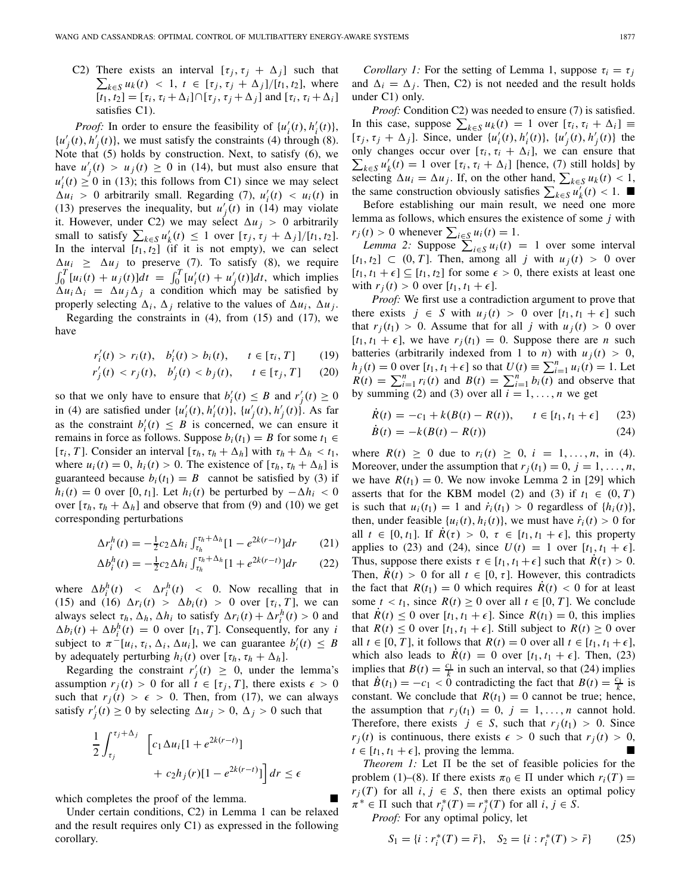C2) There exists an interval  $[\tau_j, \tau_j + \Delta_j]$  such that  $\sum_{k \in S} u_k(t)$  < 1,  $t \in [\tau_j, \tau_j + \Delta_j]/[t_1, t_2]$ , where  $[t_1, t_2] = [\tau_i, \tau_i + \Delta_i] \cap [\tau_j, \tau_j + \Delta_j]$  and  $[\tau_i, \tau_i + \Delta_i]$ satisfies C1).

*Proof:* In order to ensure the feasibility of  $\{u_i'(t), h_i'(t)\}$ ,  $\{u'_{j}(t), h'_{j}(t)\}$ , we must satisfy the constraints (4) through (8). Note that (5) holds by construction. Next, to satisfy (6), we have  $u'_{j}(t) > u_{j}(t) \ge 0$  in (14), but must also ensure that  $u'_i(t) \geq 0$  in (13); this follows from C1) since we may select  $\Delta u_i > 0$  arbitrarily small. Regarding (7),  $u'_i(t) < u_i(t)$  in (13) preserves the inequality, but  $u'_{j}(t)$  in (14) may violate it. However, under C2) we may select  $\Delta u_i > 0$  arbitrarily small to satisfy  $\sum_{k \in S} u'_k(t) \leq 1$  over  $[\tau_j, \tau_j + \Delta_j]/[t_1, t_2]$ . In the interval  $[t_1, t_2]$  (if it is not empty), we can select  $\Delta u_i \geq \Delta u_j$  to preserve (7). To satisfy (8), we require  $\int_0^T [u_i(t) + u_j(t)]dt = \int_0^T [u'_i(t) + u'_j(t)]dt$ , which implies  $\Delta u_i \Delta_i = \Delta u_j \Delta_j$  a condition which may be satisfied by properly selecting  $\Delta_i$ ,  $\Delta_j$  relative to the values of  $\Delta u_i$ ,  $\Delta u_j$ . Regarding the constraints in  $(4)$ , from  $(15)$  and  $(17)$ , we

have

$$
r'_{i}(t) > r_{i}(t), \quad b'_{i}(t) > b_{i}(t), \qquad t \in [\tau_{i}, T] \tag{19}
$$

$$
r'_{j}(t) < r_{j}(t), \quad b'_{j}(t) < b_{j}(t), \qquad t \in [\tau_{j}, T] \tag{20}
$$

so that we only have to ensure that  $b_i'(t) \leq B$  and  $r_j'(t) \geq 0$ in (4) are satisfied under  $\{u'_i(t), h'_i(t)\}, \{u'_j(t), h'_j(t)\}.$  As far as the constraint  $b_i'(t) \leq B$  is concerned, we can ensure it remains in force as follows. Suppose  $b_i(t_1) = B$  for some  $t_1 \in$ [ $\tau_i$ , *T*]. Consider an interval [ $\tau_h$ ,  $\tau_h + \Delta_h$ ] with  $\tau_h + \Delta_h < t_1$ , where  $u_i(t) = 0$ ,  $h_i(t) > 0$ . The existence of  $[\tau_h, \tau_h + \Delta_h]$  is guaranteed because  $b_i(t_1) = B$  cannot be satisfied by (3) if  $h_i(t) = 0$  over [0,*t*<sub>1</sub>]. Let  $h_i(t)$  be perturbed by  $-\Delta h_i < 0$ over  $[\tau_h, \tau_h + \Delta_h]$  and observe that from (9) and (10) we get corresponding perturbations

$$
\Delta r_i^h(t) = -\frac{1}{2}c_2 \Delta h_i \int_{\tau_h}^{\tau_h + \Delta_h} [1 - e^{2k(r-t)}] dr \qquad (21)
$$

$$
\Delta b_i^h(t) = -\frac{1}{2}c_2 \Delta h_i \int_{\tau_h}^{\tau_h + \Delta_h} [1 + e^{2k(r-t)}] dr \qquad (22)
$$

where  $\Delta b_i^h(t)$  <  $\Delta r_i^h(t)$  < 0. Now recalling that in (15) and (16)  $\Delta r_i(t) > \Delta b_i(t) > 0$  over  $[\tau_i, T]$ , we can always select  $\tau_h$ ,  $\Delta_h$ ,  $\Delta h_i$  to satisfy  $\Delta r_i(t) + \Delta r_i^h(t) > 0$  and  $\Delta b_i(t) + \Delta b_i^h(t) = 0$  over [*t*<sub>1</sub>, *T*]. Consequently, for any *i* subject to  $\pi^{-}[u_i, \tau_i, \Delta_i, \Delta u_i]$ , we can guarantee  $b_i'(t) \leq B$ by adequately perturbing  $h_i(t)$  over  $[\tau_h, \tau_h + \Delta_h]$ .

Regarding the constraint  $r'_j(t) \geq 0$ , under the lemma's assumption  $r_i(t) > 0$  for all  $t \in [\tau_i, T]$ , there exists  $\epsilon > 0$ such that  $r_j(t) > \epsilon > 0$ . Then, from (17), we can always satisfy  $r'_j(t) \ge 0$  by selecting  $\Delta u_j > 0$ ,  $\Delta j > 0$  such that

$$
\frac{1}{2} \int_{\tau_j}^{\tau_j + \Delta_j} \left[ c_1 \Delta u_i [1 + e^{2k(r-t)}] + c_2 h_j(r) [1 - e^{2k(r-t)}] \right] dr \le \epsilon
$$

which completes the proof of the lemma.

Under certain conditions, C2) in Lemma 1 can be relaxed and the result requires only C1) as expressed in the following corollary.

*Corollary 1:* For the setting of Lemma 1, suppose  $\tau_i = \tau_j$ and  $\Delta_i = \Delta_i$ . Then, C2) is not needed and the result holds under C1) only.

*Proof:* Condition C2) was needed to ensure (7) is satisfied. In this case, suppose  $\sum_{k \in S} u_k(t) = 1$  over  $[\tau_i, \tau_i + \Delta_i] \equiv$  $[\tau_j, \tau_j + \Delta_j]$ . Since, under  $\{u'_i(t), h'_i(t)\}, \{u'_j(t), h'_j(t)\}$  the only changes occur over  $[\tau_i, \tau_i + \Delta_i]$ , we can ensure that  $\sum_{k \in S} u'_k(t) = 1$  over  $[\tau_i, \tau_i + \Delta_i]$  [hence, (7) still holds] by selecting  $\Delta u_i = \Delta u_j$ . If, on the other hand,  $\sum_{k \in S} u_k(t) < 1$ , the same construction obviously satisfies  $\sum_{k \in S} u'_k(t)$  < 1. ■

Before establishing our main result, we need one more lemma as follows, which ensures the existence of some *j* with  $r_j(t) > 0$  whenever  $\sum_{i \in S} u_i(t) = 1$ .

*Lemma 2:* Suppose  $\sum_{i \in S} u_i(t) = 1$  over some interval  $[t_1, t_2] \subset (0, T]$ . Then, among all *j* with  $u_j(t) > 0$  over  $[t_1, t_1 + \epsilon] \subseteq [t_1, t_2]$  for some  $\epsilon > 0$ , there exists at least one with  $r_j(t) > 0$  over  $[t_1, t_1 + \epsilon]$ .

*Proof:* We first use a contradiction argument to prove that there exists  $j \in S$  with  $u_i(t) > 0$  over  $[t_1, t_1 + \epsilon]$  such that  $r_i(t_1) > 0$ . Assume that for all *j* with  $u_i(t) > 0$  over  $[t_1, t_1 + \epsilon]$ , we have  $r_j(t_1) = 0$ . Suppose there are *n* such batteries (arbitrarily indexed from 1 to *n*) with  $u_j(t) > 0$ , *h*<sub>j</sub>(*t*) = 0 over [*t*<sub>1</sub>, *t*<sub>1</sub> +  $\epsilon$ ] so that  $U(t) \equiv \sum_{i=1}^{n} u_i(t) = 1$ . Let  $R(t) = \sum_{i=1}^{n} r_i(t)$  and  $B(t) = \sum_{i=1}^{n} b_i(t)$  and observe that by summing (2) and (3) over all  $i = 1, \ldots, n$  we get

$$
\dot{R}(t) = -c_1 + k(B(t) - R(t)), \qquad t \in [t_1, t_1 + \epsilon] \tag{23}
$$

$$
\dot{B}(t) = -k(B(t) - R(t))
$$
\n(24)

where  $R(t) \geq 0$  due to  $r_i(t) \geq 0$ ,  $i = 1, ..., n$ , in (4). Moreover, under the assumption that  $r_i(t_1) = 0$ ,  $j = 1, \ldots, n$ , we have  $R(t_1) = 0$ . We now invoke Lemma 2 in [29] which asserts that for the KBM model (2) and (3) if  $t_1 \in (0, T)$ is such that  $u_i(t_1) = 1$  and  $\dot{r}_i(t_1) > 0$  regardless of  $\{h_i(t)\},$ then, under feasible  $\{u_i(t), h_i(t)\}$ , we must have  $\dot{r}_i(t) > 0$  for all  $t \in [0, t_1]$ . If  $\dot{R}(\tau) > 0$ ,  $\tau \in [t_1, t_1 + \epsilon]$ , this property applies to (23) and (24), since  $U(t) = 1$  over  $[t_1, t_1 + \epsilon]$ . Thus, suppose there exists  $\tau \in [t_1, t_1 + \epsilon]$  such that  $R(\tau) > 0$ . Then,  $R(t) > 0$  for all  $t \in [0, \tau]$ . However, this contradicts the fact that  $R(t_1) = 0$  which requires  $R(t) < 0$  for at least some  $t < t_1$ , since  $R(t) \geq 0$  over all  $t \in [0, T]$ . We conclude that  $\hat{R}(t) \leq 0$  over  $[t_1, t_1 + \epsilon]$ . Since  $R(t_1) = 0$ , this implies that  $R(t) \leq 0$  over  $[t_1, t_1 + \epsilon]$ . Still subject to  $R(t) \geq 0$  over all  $t \in [0, T]$ , it follows that  $R(t) = 0$  over all  $t \in [t_1, t_1 + \epsilon]$ , which also leads to  $\hat{R}(t) = 0$  over  $[t_1, t_1 + \epsilon]$ . Then, (23) implies that  $B(t) = \frac{c_1}{k}$  in such an interval, so that (24) implies that  $\dot{B}(t_1) = -c_1 < 0$  contradicting the fact that  $B(t) = \frac{c_1}{k}$  is constant. We conclude that  $R(t_1) = 0$  cannot be true; hence, the assumption that  $r_j(t_1) = 0$ ,  $j = 1, \ldots, n$  cannot hold. Therefore, there exists  $j \in S$ , such that  $r_i(t_1) > 0$ . Since  $r_j(t)$  is continuous, there exists  $\epsilon > 0$  such that  $r_j(t) > 0$ ,  $t \in [t_1, t_1 + \epsilon]$ , proving the lemma.

*Theorem 1:* Let  $\Pi$  be the set of feasible policies for the problem (1)–(8). If there exists  $\pi_0 \in \Pi$  under which  $r_i(T) =$  $r_j(T)$  for all  $i, j \in S$ , then there exists an optimal policy  $\pi^* \in \Pi$  such that  $r_i^*(T) = r_j^*(T)$  for all  $i, j \in S$ .

*Proof:* For any optimal policy, let

$$
S_1 = \{i : r_i^*(T) = \bar{r}\}, \quad S_2 = \{i : r_i^*(T) > \bar{r}\}\tag{25}
$$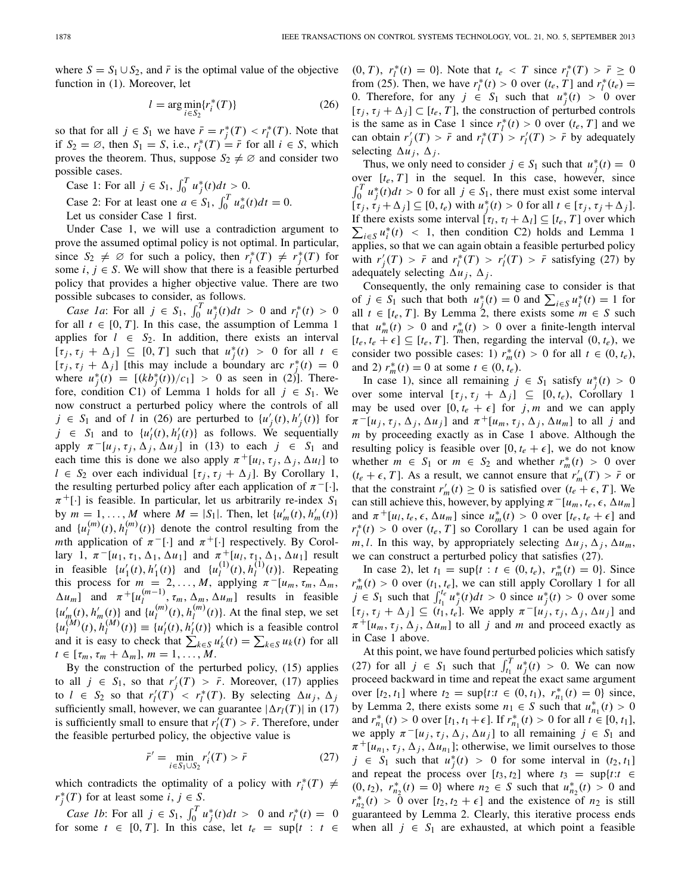where  $S = S_1 \cup S_2$ , and  $\bar{r}$  is the optimal value of the objective function in (1). Moreover, let

$$
l = \arg\min_{i \in S_2} \{r_i^*(T)\}\tag{26}
$$

so that for all  $j \in S_1$  we have  $\bar{r} = r_j^*(T) < r_l^*(T)$ . Note that if  $S_2 = \emptyset$ , then  $S_1 = S$ , i.e.,  $r_i^*(T) = \overline{r}$  for all  $i \in S$ , which proves the theorem. Thus, suppose  $S_2 \neq \emptyset$  and consider two possible cases.

Case 1: For all  $j \in S_1$ ,  $\int_0^T u_j^*(t) dt > 0$ .

Case 2: For at least one  $a \in S_1$ ,  $\int_0^T u_a^*(t) dt = 0$ .

Let us consider Case 1 first.

Under Case 1, we will use a contradiction argument to prove the assumed optimal policy is not optimal. In particular, since  $S_2 \neq \emptyset$  for such a policy, then  $r_i^*(T) \neq r_j^*(T)$  for some  $i, j \in S$ . We will show that there is a feasible perturbed policy that provides a higher objective value. There are two possible subcases to consider, as follows.

*Case 1a*: For all  $j \in S_1$ ,  $\int_0^T u_j^*(t) dt > 0$  and  $r_l^*(t) > 0$ for all  $t \in [0, T]$ . In this case, the assumption of Lemma 1 applies for  $l \in S_2$ . In addition, there exists an interval  $[\tau_j, \tau_j + \Delta_j] \subseteq [0, T]$  such that  $u_j^*(t) > 0$  for all  $t \in$  $[\tau_j, \tau_j + \Delta_j]$  [this may include a boundary arc  $r_j^*(t) = 0$ where  $u_j^*(t) = [(kb_j^*(t))/c_1] > 0$  as seen in (2). Therefore, condition C1) of Lemma 1 holds for all  $j \in S_1$ . We now construct a perturbed policy where the controls of all *j* ∈ *S*<sup>1</sup> and of *l* in (26) are perturbed to  $\{u'_{j}(t), h'_{j}(t)\}$  for *j*  $\in$  *S*<sub>1</sub> and to  $\{u'_i(t), h'_i(t)\}$  as follows. We sequentially apply  $\pi^{-}[u_j, \tau_j, \Delta_j, \Delta u_j]$  in (13) to each  $j \in S_1$  and each time this is done we also apply  $\pi^+[u_1, \tau_i, \Delta_i, \Delta u_l]$  to  $l \in S_2$  over each individual  $[\tau_i, \tau_i + \Delta_i]$ . By Corollary 1, the resulting perturbed policy after each application of  $\pi^{-}[\cdot]$ ,  $\pi^+$ [·] is feasible. In particular, let us arbitrarily re-index  $S_1$ by  $m = 1, ..., M$  where  $M = |S_1|$ . Then, let  $\{u'_m(t), h'_m(t)\}$ and  $\{u_l^{(m)}(t), h_l^{(m)}(t)\}$  denote the control resulting from the *m*th application of  $\pi^{-}[\cdot]$  and  $\pi^{+}[\cdot]$  respectively. By Corollary 1,  $\pi^{-}[u_1, \tau_1, \Delta_1, \Delta u_1]$  and  $\pi^{+}[u_1, \tau_1, \Delta_1, \Delta u_1]$  result in feasible  $\{u'_1(t), h'_1(t)\}$  and  $\{u_l^{(1)}(t), h_l^{(1)}(t)\}$ . Repeating this process for  $m = 2, ..., M$ , applying  $\pi^{-}[u_m, \tau_m, \Delta_m,$  $\Delta u_m$ ] and  $\pi^+ [u_l^{(m-1)}, \tau_m, \Delta_m, \Delta u_m]$  results in feasible  $\{u_m'(t), h'_m(t)\}$  and  $\{u_l^{(m)}(t), h_l^{(m)}(t)\}$ . At the final step, we set  $\{u_l^{(M)}(t), h_l^{(M)}(t)\} \equiv \{u'_l(t), h'_l(t)\}$  which is a feasible control and it is easy to check that  $\sum_{k \in S} u'_k(t) = \sum_{k \in S} u_k(t)$  for all  $t \in [\tau_m, \tau_m + \Delta_m], m = 1, ..., M.$ 

By the construction of the perturbed policy, (15) applies to all  $j \in S_1$ , so that  $r'_j(T) > \bar{r}$ . Moreover, (17) applies to  $l \in S_2$  so that  $r'_l(T) < r_l^*(T)$ . By selecting  $\Delta u_j$ ,  $\Delta_j$ sufficiently small, however, we can guarantee  $|\Delta r_l(T)|$  in (17) is sufficiently small to ensure that  $r_l(T) > \bar{r}$ . Therefore, under the feasible perturbed policy, the objective value is

$$
\bar{r}' = \min_{i \in S_1 \cup S_2} r'_i(T) > \bar{r}
$$
\n(27)

which contradicts the optimality of a policy with  $r_i^*(T) \neq$  $r_j^*(T)$  for at least some  $i, j \in S$ .

*Case 1b*: For all  $j \in S_1$ ,  $\int_0^T u_j^*(t) dt > 0$  and  $r_l^*(t) = 0$ for some  $t \in [0, T]$ . In this case, let  $t_e = \sup\{t : t \in$   $(0, T)$ ,  $r_l^*(t) = 0$ . Note that  $t_e < T$  since  $r_l^*(T) > \bar{r} \ge 0$ from (25). Then, we have  $r_l^*(t) > 0$  over  $(t_e, T]$  and  $r_l^*(t_e) =$ 0. Therefore, for any  $j \in S_1$  such that  $u_j^*(t) > 0$  over  $[\tau_j, \tau_j + \Delta_j] \subset [t_e, T]$ , the construction of perturbed controls is the same as in Case 1 since  $r_l^*(t) > 0$  over  $(t_e, T]$  and we can obtain  $r'_{j}(T) > \bar{r}$  and  $r''_{l}(T) > r'_{l}(T) > \bar{r}$  by adequately selecting  $\Delta u_i$ ,  $\Delta j$ .

Thus, we only need to consider  $j \in S_1$  such that  $u_j^*(t) = 0$ over  $[t_e, T]$  in the sequel. In this case, however, since  $\int_0^T u_j^*(t)dt > 0$  for all  $j \in S_1$ , there must exist some interval  $[\tau_j, \tau_j + \Delta_j] \subseteq [0, t_e)$  with  $u_j^*(t) > 0$  for all  $t \in [\tau_j, \tau_j + \Delta_j]$ .  $\sum_{i \in S} u_i^*(t)$  < 1, then condition C2) holds and Lemma 1 If there exists some interval  $[\tau_l, \tau_l + \Delta_l] \subseteq [t_e, T]$  over which applies, so that we can again obtain a feasible perturbed policy with  $r'_j(T) > \bar{r}$  and  $r_l^*(T) > r'_l(T) > \bar{r}$  satisfying (27) by adequately selecting  $\Delta u_i$ ,  $\Delta j$ .

Consequently, the only remaining case to consider is that of  $j \in S_1$  such that both  $u_j^*(t) = 0$  and  $\sum_{i \in S} u_i^*(t) = 1$  for all  $t \in [t_e, T]$ . By Lemma 2, there exists some  $m \in S$  such that  $u_m^*(t) > 0$  and  $r_m^*(t) > 0$  over a finite-length interval  $[t_e, t_e + \epsilon] \subseteq [t_e, T]$ . Then, regarding the interval  $(0, t_e)$ , we consider two possible cases: 1)  $r_m^*(t) > 0$  for all  $t \in (0, t_e)$ , and 2)  $r_m^*(t) = 0$  at some  $t \in (0, t_e)$ .

In case 1), since all remaining  $j \in S_1$  satisfy  $u_j^*(t) > 0$ over some interval  $[\tau_j, \tau_j + \Delta_j] \subseteq [0, t_e)$ , Corollary 1 may be used over  $[0, t_e + \epsilon]$  for *j*, *m* and we can apply  $\pi^{-}[u_j, \tau_j, \Delta_j, \Delta u_j]$  and  $\pi^{+}[u_m, \tau_j, \Delta_j, \Delta u_m]$  to all *j* and *m* by proceeding exactly as in Case 1 above. Although the resulting policy is feasible over  $[0, t_e + \epsilon]$ , we do not know whether  $m \in S_1$  or  $m \in S_2$  and whether  $r_m^*(t) > 0$  over  $(t_e + \epsilon, T]$ . As a result, we cannot ensure that  $r'_m(T) > \bar{r}$  or that the constraint  $r'_m(t) \ge 0$  is satisfied over  $(t_e + \epsilon, T]$ . We can still achieve this, however, by applying  $\pi^{-}[u_m, t_e, \epsilon, \Delta u_m]$ and  $\pi^+ [u_l, t_e, \epsilon, \Delta u_m]$  since  $u_m^*(t) > 0$  over  $[t_e, t_e + \epsilon]$  and  $r_l^*(t) > 0$  over  $(t_e, T]$  so Corollary 1 can be used again for  $m, l$ . In this way, by appropriately selecting  $\Delta u_i$ ,  $\Delta j$ ,  $\Delta u_m$ , we can construct a perturbed policy that satisfies (27).

In case 2), let  $t_1 = \sup\{t : t \in (0, t_e), r_m^*(t) = 0\}$ . Since  $r_m^*(t) > 0$  over  $(t_1, t_e]$ , we can still apply Corollary 1 for all  $j \in S_1$  such that  $\int_{t_1}^{t_e} u_j^*(t) dt > 0$  since  $u_j^*(t) > 0$  over some  $[\tau_i, \tau_j + \Delta_j] \subseteq (t_1, t_e]$ . We apply  $\pi^{-}[u_j, \tau_j, \Delta_j, \Delta u_j]$  and  $\pi^+$ [ $u_m$ ,  $\tau_j$ ,  $\Delta_j$ ,  $\Delta u_m$ ] to all *j* and *m* and proceed exactly as in Case 1 above.

At this point, we have found perturbed policies which satisfy (27) for all  $j \in S_1$  such that  $\int_{t_1}^T u_j^*(t) > 0$ . We can now proceed backward in time and repeat the exact same argument over  $[t_2, t_1]$  where  $t_2 = \sup\{t : t \in (0, t_1), r_{n_1}^*(t) = 0\}$  since, by Lemma 2, there exists some  $n_1 \in S$  such that  $u_{n_1}^*(t) > 0$ and  $r_{n_1}^*(t) > 0$  over  $[t_1, t_1 + \epsilon]$ . If  $r_{n_1}^*(t) > 0$  for all  $t \in [0, t_1]$ , we apply  $\pi^{-}[u_j, \tau_j, \Delta_j, \Delta u_j]$  to all remaining  $j \in S_1$  and  $\pi^+$ [ $u_{n_1}, \tau_i, \Delta_i, \Delta u_{n_1}$ ]; otherwise, we limit ourselves to those  $j \in S_1$  such that  $u_j^*(t) > 0$  for some interval in  $(t_2, t_1]$ and repeat the process over  $[t_3, t_2]$  where  $t_3 = \sup\{t : t \in$  $(0, t_2)$ ,  $r_{n_2}^*(t) = 0$  where  $n_2 \in S$  such that  $u_{n_2}^*(t) > 0$  and  $r_{n_2}^*(t) > 0$  over  $[t_2, t_2 + \epsilon]$  and the existence of  $n_2$  is still guaranteed by Lemma 2. Clearly, this iterative process ends when all  $j \in S_1$  are exhausted, at which point a feasible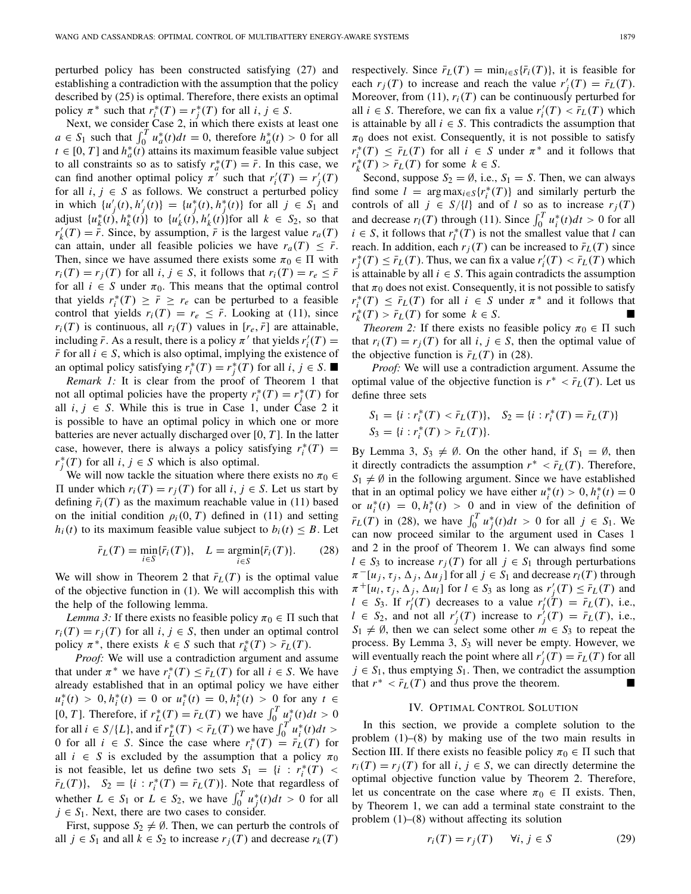perturbed policy has been constructed satisfying (27) and establishing a contradiction with the assumption that the policy described by (25) is optimal. Therefore, there exists an optimal policy  $\pi^*$  such that  $r_i^*(T) = r_j^*(T)$  for all  $i, j \in S$ .

Next, we consider Case 2, in which there exists at least one  $a \in S_1$  such that  $\int_0^T u_a^*(t) dt = 0$ , therefore  $h_a^*(t) > 0$  for all  $t \in [0, T]$  and  $h_a^*(t)$  attains its maximum feasible value subject to all constraints so as to satisfy  $r_a^*(T) = \bar{r}$ . In this case, we can find another optimal policy  $\pi'$  such that  $r'_i(T) = r'_j(T)$ for all  $i, j \in S$  as follows. We construct a perturbed policy in which  $\{u'_j(t), h'_j(t)\} = \{u^*_j(t), h^*_j(t)\}$  for all  $j \in S_1$  and adjust  $\{u_k^*(t), h_k^*(t)\}$  to  $\{u'_k(t), h'_k(t)\}$  for all  $k \in S_2$ , so that  $r'_{k}(T) = \overline{r}$ . Since, by assumption,  $\overline{r}$  is the largest value  $r_{a}(T)$ can attain, under all feasible policies we have  $r_a(T) \leq \bar{r}$ . Then, since we have assumed there exists some  $\pi_0 \in \Pi$  with  $r_i(T) = r_j(T)$  for all  $i, j \in S$ , it follows that  $r_i(T) = r_e \leq \bar{r}$ for all  $i \in S$  under  $\pi_0$ . This means that the optimal control that yields  $r_i^*(T) \geq \bar{r} \geq r_e$  can be perturbed to a feasible control that yields  $r_i(T) = r_e \leq \bar{r}$ . Looking at (11), since  $r_i(T)$  is continuous, all  $r_i(T)$  values in  $[r_e, \bar{r}]$  are attainable, including  $\bar{r}$ . As a result, there is a policy  $\pi'$  that yields  $r'_i(T)$  =  $\bar{r}$  for all  $i \in S$ , which is also optimal, implying the existence of an optimal policy satisfying  $r_i^*(T) = r_j^*(T)$  for all *i*, *j* ∈ *S*. ■

*Remark 1:* It is clear from the proof of Theorem 1 that not all optimal policies have the property  $r_i^*(T) = r_j^*(T)$  for all  $i, j \in S$ . While this is true in Case 1, under Case 2 it is possible to have an optimal policy in which one or more batteries are never actually discharged over [0, *T* ]. In the latter case, however, there is always a policy satisfying  $r_i^*(T)$  =  $r_j^*(T)$  for all *i*,  $j \in S$  which is also optimal.

We will now tackle the situation where there exists no  $\pi_0 \in$  under which *ri*(*T* ) = *rj*(*T* ) for all *i*, *j* ∈ *S*. Let us start by defining  $\bar{r}_i(T)$  as the maximum reachable value in (11) based on the initial condition  $\rho_i(0, T)$  defined in (11) and setting *h<sub>i</sub>*(*t*) to its maximum feasible value subject to  $b_i(t) \leq B$ . Let

$$
\bar{r}_L(T) = \min_{i \in S} {\{\bar{r}_i(T)\}}, \quad L = \operatorname*{argmin}_{i \in S} {\{\bar{r}_i(T)\}}.
$$
 (28)

We will show in Theorem 2 that  $\bar{r}_L(T)$  is the optimal value of the objective function in (1). We will accomplish this with the help of the following lemma.

*Lemma 3:* If there exists no feasible policy  $\pi_0 \in \Pi$  such that  $r_i(T) = r_j(T)$  for all *i*, *j*  $\in$  *S*, then under an optimal control policy  $\pi^*$ , there exists  $k \in S$  such that  $r_k^*(T) > \bar{r}_L(T)$ .

*Proof:* We will use a contradiction argument and assume that under  $\pi^*$  we have  $r_i^*(T) \leq \bar{r}_L(T)$  for all  $i \in S$ . We have already established that in an optimal policy we have either  $u_i^*(t) > 0, h_i^*(t) = 0$  or  $u_i^*(t) = 0, h_i^*(t) > 0$  for any  $t \in$ [0, *T*]. Therefore, if  $r_L^*(T) = \bar{r}_L(T)$  we have  $\int_0^T u_{\bar{r}}^*(t) dt > 0$ for all  $i \in S/\{L\}$ , and if  $r_L^*(T) < \bar{r}_L(T)$  we have  $\int_0^T u_i^*(t) dt >$ 0 for all  $i \in S$ . Since the case where  $r_i^*(T) = \overline{r}_L(T)$  for all  $i \in S$  is excluded by the assumption that a policy  $\pi_0$ is not feasible, let us define two sets  $S_1 = \{i : r_i^*(T) \leq$  $\bar{r}_L(T)$ },  $S_2 = \{i : r_i^*(T) = \bar{r}_L(T)\}$ . Note that regardless of whether  $L \in S_1$  or  $L \in S_2$ , we have  $\int_0^T u_j^*(t) dt > 0$  for all  $j \in S_1$ . Next, there are two cases to consider.

First, suppose  $S_2 \neq \emptyset$ . Then, we can perturb the controls of all *j* ∈ *S*<sub>1</sub> and all *k* ∈ *S*<sub>2</sub> to increase  $r_i(T)$  and decrease  $r_k(T)$  respectively. Since  $\bar{r}_L(T) = \min_{i \in S} {\{\bar{r}_i(T)\}}$ , it is feasible for each  $r_j(T)$  to increase and reach the value  $r'_j(T) = \bar{r}_L(T)$ . Moreover, from  $(11)$ ,  $r_i(T)$  can be continuously perturbed for all *i* ∈ *S*. Therefore, we can fix a value  $r'_i(T) < \overline{r}_L(T)$  which is attainable by all  $i \in S$ . This contradicts the assumption that  $\pi_0$  does not exist. Consequently, it is not possible to satisfy  $r_i^*(T) \leq \bar{r}_L(T)$  for all  $i \in S$  under  $\pi^*$  and it follows that  $r_k^*(T) > \bar{r}_L(T)$  for some  $k \in S$ .

Second, suppose  $S_2 = \emptyset$ , i.e.,  $S_1 = S$ . Then, we can always find some  $l = \arg \max_{i \in S} \{r_i^*(T)\}\$  and similarly perturb the controls of all  $j \in S/\{l\}$  and of *l* so as to increase  $r_j(T)$ and decrease  $r_l(T)$  through (11). Since  $\int_0^T u_i^*(t)dt > 0$  for all  $i \in S$ , it follows that  $r_l^*(T)$  is not the smallest value that *l* can reach. In addition, each  $r_j(T)$  can be increased to  $\bar{r}_L(T)$  since  $r_j^*(T) \leq \bar{r}_L(T)$ . Thus, we can fix a value  $r'_i(T) < \bar{r}_L(T)$  which is attainable by all  $i \in S$ . This again contradicts the assumption that  $\pi_0$  does not exist. Consequently, it is not possible to satisfy  $r_i^*(T) \leq \bar{r}_L(T)$  for all  $i \in S$  under  $\pi^*$  and it follows that  $r_k^*(T) > \bar{r}_L(T)$  for some  $k \in S$ .

*Theorem 2:* If there exists no feasible policy  $\pi_0 \in \Pi$  such that  $r_i(T) = r_j(T)$  for all  $i, j \in S$ , then the optimal value of the objective function is  $\bar{r}_L(T)$  in (28).

*Proof:* We will use a contradiction argument. Assume the optimal value of the objective function is  $r^* < \bar{r}_L(T)$ . Let us define three sets

$$
S_1 = \{i : r_i^*(T) < \bar{r}_L(T)\}, \quad S_2 = \{i : r_i^*(T) = \bar{r}_L(T)\}
$$
\n
$$
S_3 = \{i : r_i^*(T) > \bar{r}_L(T)\}.
$$

By Lemma 3,  $S_3 \neq \emptyset$ . On the other hand, if  $S_1 = \emptyset$ , then it directly contradicts the assumption  $r^* < \bar{r}_L(T)$ . Therefore,  $S_1 \neq \emptyset$  in the following argument. Since we have established that in an optimal policy we have either  $u_i^*(t) > 0$ ,  $h_i^*(t) = 0$ or  $u_i^*(t) = 0, h_i^*(t) > 0$  and in view of the definition of *r*<sub>L</sub>(*T*) in (28), we have  $\int_0^T u_j^*(t) dt > 0$  for all  $j \in S_1$ . We can now proceed similar to the argument used in Cases 1 and 2 in the proof of Theorem 1. We can always find some *l* ∈ *S*<sub>3</sub> to increase  $r_i(T)$  for all  $j \text{ ∈ } S_1$  through perturbations  $\pi^{-}[u_j, \tau_j, \Delta_j, \Delta u_j]$  for all  $j \in S_1$  and decrease  $r_l(T)$  through  $\pi^+[u_l, \tau_j, \Delta_j, \Delta u_l]$  for  $l \in S_3$  as long as  $r'_j(T) \leq \bar{r}_L(T)$  and  $l \in S_3$ . If  $r'_l(T)$  decreases to a value  $r'_l(T) = \bar{r}_L(T)$ , i.e.,  $l \in S_2$ , and not all  $r'_j(T)$  increase to  $r'_j(T) = \bar{r}_L(T)$ , i.e.,  $S_1 \neq \emptyset$ , then we can select some other  $m \in S_3$  to repeat the process. By Lemma 3, *S*<sup>3</sup> will never be empty. However, we will eventually reach the point where all  $r'_{j}(T) = \bar{r}_L(T)$  for all  $j \in S_1$ , thus emptying  $S_1$ . Then, we contradict the assumption that  $r^* < \bar{r}_L(T)$  and thus prove the theorem.

## IV. OPTIMAL CONTROL SOLUTION

In this section, we provide a complete solution to the problem (1)–(8) by making use of the two main results in Section III. If there exists no feasible policy  $\pi_0 \in \Pi$  such that  $r_i(T) = r_j(T)$  for all *i*, *j*  $\in$  *S*, we can directly determine the optimal objective function value by Theorem 2. Therefore, let us concentrate on the case where  $\pi_0 \in \Pi$  exists. Then, by Theorem 1, we can add a terminal state constraint to the problem (1)–(8) without affecting its solution

$$
r_i(T) = r_j(T) \quad \forall i, j \in S \tag{29}
$$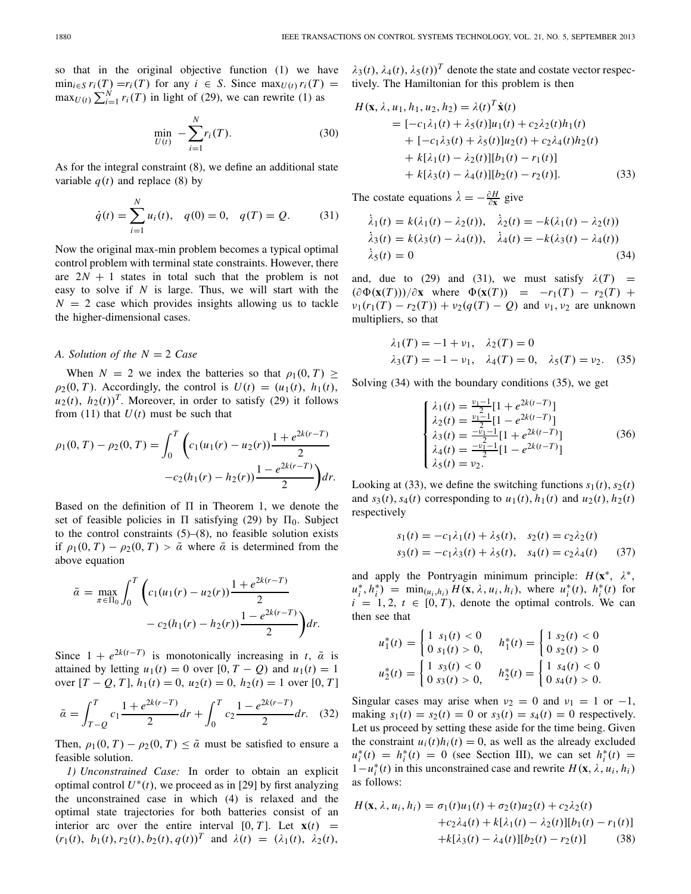so that in the original objective function (1) we have min<sub>*i*∈</sub>*S*  $r_i(T) = r_i(T)$  for any *i* ∈ *S*. Since max<sub>*U*(*t*)</sub>  $r_i(T) =$  $\max_{U(t)} \sum_{i=1}^{N} r_i(T)$  in light of (29), we can rewrite (1) as

$$
\min_{U(t)} - \sum_{i=1}^{N} r_i(T). \tag{30}
$$

As for the integral constraint (8), we define an additional state variable  $q(t)$  and replace (8) by

$$
\dot{q}(t) = \sum_{i=1}^{N} u_i(t), \quad q(0) = 0, \quad q(T) = Q. \tag{31}
$$

Now the original max-min problem becomes a typical optimal control problem with terminal state constraints. However, there are  $2N + 1$  states in total such that the problem is not easy to solve if *N* is large. Thus, we will start with the  $N = 2$  case which provides insights allowing us to tackle the higher-dimensional cases.

## *A. Solution of the N* = 2 *Case*

When  $N = 2$  we index the batteries so that  $\rho_1(0, T) \geq$  $\rho_2(0, T)$ . Accordingly, the control is  $U(t) = (u_1(t), h_1(t))$ ,  $u_2(t)$ ,  $h_2(t)$ <sup>T</sup>. Moreover, in order to satisfy (29) it follows from  $(11)$  that  $U(t)$  must be such that

$$
\rho_1(0,T) - \rho_2(0,T) = \int_0^T \left( c_1(u_1(r) - u_2(r)) \frac{1 + e^{2k(r-T)}}{2} -c_2(h_1(r) - h_2(r)) \frac{1 - e^{2k(r-T)}}{2} \right) dr.
$$

Based on the definition of  $\Pi$  in Theorem 1, we denote the set of feasible policies in  $\Pi$  satisfying (29) by  $\Pi_0$ . Subject to the control constraints  $(5)$ – $(8)$ , no feasible solution exists if  $\rho_1(0, T) - \rho_2(0, T) > \overline{\alpha}$  where  $\overline{\alpha}$  is determined from the above equation

$$
\bar{a} = \max_{\pi \in \Pi_0} \int_0^T \left( c_1(u_1(r) - u_2(r)) \frac{1 + e^{2k(r-T)}}{2} - c_2(h_1(r) - h_2(r)) \frac{1 - e^{2k(r-T)}}{2} \right) dr.
$$

Since  $1 + e^{2k(t-T)}$  is monotonically increasing in *t*,  $\bar{\alpha}$  is attained by letting  $u_1(t) = 0$  over  $[0, T - Q)$  and  $u_1(t) = 1$ over  $[T - Q, T]$ ,  $h_1(t) = 0$ ,  $u_2(t) = 0$ ,  $h_2(t) = 1$  over  $[0, T]$ 

$$
\bar{\alpha} = \int_{T-Q}^{T} c_1 \frac{1 + e^{2k(r-T)}}{2} dr + \int_0^T c_2 \frac{1 - e^{2k(r-T)}}{2} dr. \quad (32)
$$

Then,  $\rho_1(0, T) - \rho_2(0, T) \leq \overline{\alpha}$  must be satisfied to ensure a feasible solution.

*1) Unconstrained Case:* In order to obtain an explicit optimal control  $U^*(t)$ , we proceed as in [29] by first analyzing the unconstrained case in which (4) is relaxed and the optimal state trajectories for both batteries consist of an interior arc over the entire interval  $[0, T]$ . Let  $\mathbf{x}(t)$  =  $(r_1(t), b_1(t), r_2(t), b_2(t), q(t))^T$  and  $\lambda(t) = (\lambda_1(t), \lambda_2(t))$ 

 $\lambda_3(t)$ ,  $\lambda_4(t)$ ,  $\lambda_5(t)$ <sup>T</sup> denote the state and costate vector respectively. The Hamiltonian for this problem is then

$$
H(\mathbf{x}, \lambda, u_1, h_1, u_2, h_2) = \lambda(t)^T \dot{\mathbf{x}}(t)
$$
  
=  $[-c_1\lambda_1(t) + \lambda_5(t)]u_1(t) + c_2\lambda_2(t)h_1(t)$   
+  $[-c_1\lambda_3(t) + \lambda_5(t)]u_2(t) + c_2\lambda_4(t)h_2(t)$   
+  $k[\lambda_1(t) - \lambda_2(t)][b_1(t) - r_1(t)]$   
+  $k[\lambda_3(t) - \lambda_4(t)][b_2(t) - r_2(t)].$  (33)

The costate equations  $\lambda = -\frac{\partial H}{\partial x}$  give

$$
\begin{aligned}\n\dot{\lambda}_1(t) &= k(\lambda_1(t) - \lambda_2(t)), & \dot{\lambda}_2(t) &= -k(\lambda_1(t) - \lambda_2(t)) \\
\dot{\lambda}_3(t) &= k(\lambda_3(t) - \lambda_4(t)), & \dot{\lambda}_4(t) &= -k(\lambda_3(t) - \lambda_4(t)) \\
\dot{\lambda}_5(t) &= 0\n\end{aligned} \tag{34}
$$

and, due to (29) and (31), we must satisfy  $\lambda(T)$  =  $(\partial \Phi(\mathbf{x}(T)))/\partial \mathbf{x}$  where  $\Phi(\mathbf{x}(T)) = -r_1(T) - r_2(T) +$  $v_1(r_1(T) - r_2(T)) + v_2(q(T) - Q)$  and  $v_1, v_2$  are unknown multipliers, so that

$$
\lambda_1(T) = -1 + \nu_1, \quad \lambda_2(T) = 0
$$
  

$$
\lambda_3(T) = -1 - \nu_1, \quad \lambda_4(T) = 0, \quad \lambda_5(T) = \nu_2. \quad (35)
$$

Solving (34) with the boundary conditions (35), we get

$$
\begin{cases}\n\lambda_1(t) = \frac{v_1 - 1}{2} [1 + e^{2k(t - T)}] \\
\lambda_2(t) = \frac{v_1 - 1}{2} [1 - e^{2k(t - T)}] \\
\lambda_3(t) = \frac{-v_1 - 1}{2} [1 + e^{2k(t - T)}] \\
\lambda_4(t) = \frac{-v_1 - 1}{2} [1 - e^{2k(t - T)}] \\
\lambda_5(t) = v_2.\n\end{cases} (36)
$$

Looking at (33), we define the switching functions  $s_1(t)$ ,  $s_2(t)$ and  $s_3(t)$ ,  $s_4(t)$  corresponding to  $u_1(t)$ ,  $h_1(t)$  and  $u_2(t)$ ,  $h_2(t)$ respectively

$$
s_1(t) = -c_1\lambda_1(t) + \lambda_5(t), \quad s_2(t) = c_2\lambda_2(t)
$$
  

$$
s_3(t) = -c_1\lambda_3(t) + \lambda_5(t), \quad s_4(t) = c_2\lambda_4(t) \qquad (37)
$$

and apply the Pontryagin minimum principle:  $H(\mathbf{x}^*, \lambda^*)$ ,  $u_i^*, h_i^*$  = min<sub>(*u<sub>i</sub>,h<sub>i</sub>)</sub>*  $H(\mathbf{x}, \lambda, u_i, h_i)$ *, where*  $u_i^*(t)$ *,*  $h_i^*(t)$  *for</sub>*  $i = 1, 2, t \in [0, T)$ , denote the optimal controls. We can then see that

$$
u_1^*(t) = \begin{cases} 1 & s_1(t) < 0 \\ 0 & s_1(t) > 0 \end{cases}, \quad h_1^*(t) = \begin{cases} 1 & s_2(t) < 0 \\ 0 & s_2(t) > 0 \end{cases}
$$

$$
u_2^*(t) = \begin{cases} 1 & s_3(t) < 0 \\ 0 & s_3(t) > 0 \end{cases}, \quad h_2^*(t) = \begin{cases} 1 & s_4(t) < 0 \\ 0 & s_4(t) > 0 \end{cases}
$$

Singular cases may arise when  $v_2 = 0$  and  $v_1 = 1$  or  $-1$ , making  $s_1(t) = s_2(t) = 0$  or  $s_3(t) = s_4(t) = 0$  respectively. Let us proceed by setting these aside for the time being. Given the constraint  $u_i(t)h_i(t) = 0$ , as well as the already excluded  $u_i^*(t) = h_i^*(t) = 0$  (see Section III), we can set  $h_i^*(t) =$  $1 - u_i^*(t)$  in this unconstrained case and rewrite  $H(\mathbf{x}, \lambda, u_i, h_i)$ as follows:

$$
H(\mathbf{x}, \lambda, u_i, h_i) = \sigma_1(t)u_1(t) + \sigma_2(t)u_2(t) + c_2\lambda_2(t)
$$
  
+
$$
c_2\lambda_4(t) + k[\lambda_1(t) - \lambda_2(t)][b_1(t) - r_1(t)]
$$
  
+
$$
k[\lambda_3(t) - \lambda_4(t)][b_2(t) - r_2(t)]
$$
(38)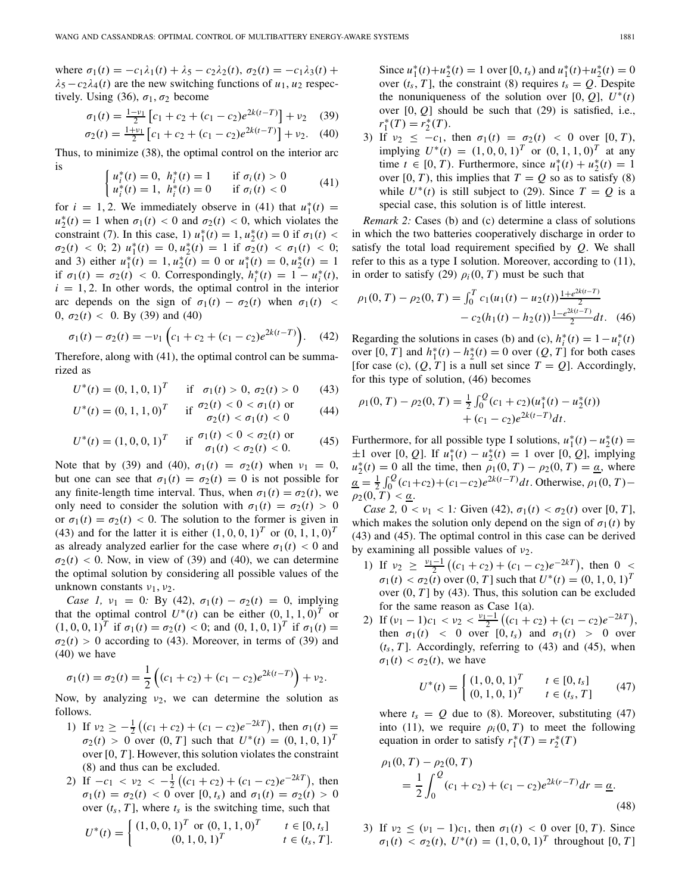where  $\sigma_1(t) = -c_1\lambda_1(t) + \lambda_5 - c_2\lambda_2(t)$ ,  $\sigma_2(t) = -c_1\lambda_3(t) +$  $\lambda_5 - c_2\lambda_4(t)$  are the new switching functions of  $u_1, u_2$  respectively. Using (36),  $\sigma_1$ ,  $\sigma_2$  become

$$
\sigma_1(t) = \frac{1 - v_1}{2} \left[ c_1 + c_2 + (c_1 - c_2) e^{2k(t - T)} \right] + v_2 \quad (39)
$$

$$
\sigma_2(t) = \frac{1+v_1}{2} \left[ c_1 + c_2 + (c_1 - c_2)e^{2k(t-T)} \right] + v_2. \tag{40}
$$

Thus, to minimize (38), the optimal control on the interior arc is 

$$
\begin{cases}\n u_i^*(t) = 0, & h_i^*(t) = 1 \\
 u_i^*(t) = 1, & h_i^*(t) = 0\n\end{cases} \n\text{if } \sigma_i(t) > 0\n\tag{41}
$$

for  $i = 1, 2$ . We immediately observe in (41) that  $u_1^*(t) =$  $u_2^*(t) = 1$  when  $\sigma_1(t) < 0$  and  $\sigma_2(t) < 0$ , which violates the constraint (7). In this case, 1)  $u_1^*(t) = 1$ ,  $u_2^*(t) = 0$  if  $\sigma_1(t) <$  $\sigma_2(t) < 0$ ; 2)  $u_1^*(t) = 0, u_2^*(t) = 1$  if  $\sigma_2(t) < \sigma_1(t) < 0$ ; and 3) either  $u_1^*(t) = 1$ ,  $u_2^*(t) = 0$  or  $u_1^*(t) = 0$ ,  $u_2^*(t) = 1$ if  $\sigma_1(t) = \sigma_2(t) < 0$ . Correspondingly,  $h_i^*(t) = 1 - u_i^*(t)$ ,  $i = 1, 2$ . In other words, the optimal control in the interior arc depends on the sign of  $\sigma_1(t) - \sigma_2(t)$  when  $\sigma_1(t)$  < 0,  $\sigma_2(t)$  < 0. By (39) and (40)

$$
\sigma_1(t) - \sigma_2(t) = -\nu_1 \left( c_1 + c_2 + (c_1 - c_2)e^{2k(t - T)} \right). \quad (42)
$$

Therefore, along with (41), the optimal control can be summarized as

$$
U^*(t) = (0, 1, 0, 1)^T \quad \text{if} \quad \sigma_1(t) > 0, \ \sigma_2(t) > 0 \tag{43}
$$

$$
U^*(t) = (0, 1, 1, 0)^T \quad \text{if } \frac{\sigma_2(t) < 0 < \sigma_1(t) \text{ or } \sigma_2(t) < \sigma_1(t) < 0 \tag{44}
$$

$$
U^*(t) = (1, 0, 0, 1)^T \quad \text{if } \frac{\sigma_1(t) < 0 < \sigma_2(t) \text{ or } \sigma_1(t) < \sigma_2(t) < 0. \tag{45}
$$

Note that by (39) and (40),  $\sigma_1(t) = \sigma_2(t)$  when  $v_1 = 0$ , but one can see that  $\sigma_1(t) = \sigma_2(t) = 0$  is not possible for any finite-length time interval. Thus, when  $\sigma_1(t) = \sigma_2(t)$ , we only need to consider the solution with  $\sigma_1(t) = \sigma_2(t) > 0$ or  $\sigma_1(t) = \sigma_2(t) < 0$ . The solution to the former is given in (43) and for the latter it is either  $(1, 0, 0, 1)^T$  or  $(0, 1, 1, 0)^T$ as already analyzed earlier for the case where  $\sigma_1(t) < 0$  and  $\sigma_2(t)$  < 0. Now, in view of (39) and (40), we can determine the optimal solution by considering all possible values of the unknown constants  $v_1$ ,  $v_2$ .

*Case 1,*  $v_1 = 0$ *:* By (42),  $\sigma_1(t) - \sigma_2(t) = 0$ , implying that the optimal control  $U^*(t)$  can be either  $(0, 1, 1, 0)^T$  or  $(1, 0, 0, 1)^T$  if  $\sigma_1(t) = \sigma_2(t) < 0$ ; and  $(0, 1, 0, 1)^T$  if  $\sigma_1(t) =$  $\sigma_2(t) > 0$  according to (43). Moreover, in terms of (39) and (40) we have

$$
\sigma_1(t) = \sigma_2(t) = \frac{1}{2} \left( (c_1 + c_2) + (c_1 - c_2) e^{2k(t-T)} \right) + \nu_2.
$$

Now, by analyzing  $v_2$ , we can determine the solution as follows.

- 1) If  $v_2 \geq -\frac{1}{2} \left( (c_1 + c_2) + (c_1 c_2) e^{-2kT} \right)$ , then  $\sigma_1(t) =$  $\sigma_2(t) > 0$  over  $(0, T]$  such that  $U^*(t) = (0, 1, 0, 1)^T$ over [0, *T* ]. However, this solution violates the constraint (8) and thus can be excluded.
- 2) If  $-c_1 < v_2 < -\frac{1}{2} \left( (c_1 + c_2) + (c_1 c_2)e^{-2kT} \right)$ , then  $\sigma_1(t) = \sigma_2(t) < 0$  over  $[0, t_s)$  and  $\sigma_1(t) = \sigma_2(t) > 0$ over  $(t_s, T)$ , where  $t_s$  is the switching time, such that

$$
U^*(t) = \begin{cases} (1,0,0,1)^T \text{ or } (0,1,1,0)^T & t \in [0,t_s] \\ (0,1,0,1)^T & t \in (t_s,T]. \end{cases}
$$

Since  $u_1^*(t) + u_2^*(t) = 1$  over [0,  $t_s$ ) and  $u_1^*(t) + u_2^*(t) = 0$ over  $(t_s, T]$ , the constraint (8) requires  $t_s = Q$ . Despite the nonuniqueness of the solution over [0,  $Q$ ],  $U^*(t)$ over [0, *Q*] should be such that (29) is satisfied, i.e.,  $r_1^*(T) = r_2^*(T).$ 

3) If  $v_2 \le -c_1$ , then  $\sigma_1(t) = \sigma_2(t) < 0$  over  $[0, T)$ , implying  $U^*(t) = (1, 0, 0, 1)^T$  or  $(0, 1, 1, 0)^T$  at any time  $t \in [0, T)$ . Furthermore, since  $u_1^*(t) + u_2^*(t) = 1$ over [0, *T*), this implies that  $T = Q$  so as to satisfy (8) while  $U^*(t)$  is still subject to (29). Since  $T = Q$  is a special case, this solution is of little interest.

*Remark 2:* Cases (b) and (c) determine a class of solutions in which the two batteries cooperatively discharge in order to satisfy the total load requirement specified by *Q*. We shall refer to this as a type I solution. Moreover, according to (11), in order to satisfy (29)  $\rho_i(0, T)$  must be such that

$$
\rho_1(0,T) - \rho_2(0,T) = \int_0^T c_1(u_1(t) - u_2(t)) \frac{1 + e^{2k(t-T)}}{2}
$$

$$
- c_2(h_1(t) - h_2(t)) \frac{1 - e^{2k(t-T)}}{2} dt. \quad (46)
$$

Regarding the solutions in cases (b) and (c),  $h_i^*(t) = 1 - u_i^*(t)$ over [0, *T*] and  $h_1^*(t) - h_2^*(t) = 0$  over  $(Q, T]$  for both cases [for case (c),  $(Q, T]$  is a null set since  $T = Q$ ]. Accordingly, for this type of solution, (46) becomes

$$
\rho_1(0,T) - \rho_2(0,T) = \frac{1}{2} \int_0^Q (c_1 + c_2)(u_1^*(t) - u_2^*(t))
$$
  
+  $(c_1 - c_2)e^{2k(t-T)}dt.$ 

Furthermore, for all possible type I solutions,  $u_1^*(t) - u_2^*(t) =$  $\pm 1$  over [0, *Q*]. If  $u_1^*(t) - u_2^*(t) = 1$  over [0, *Q*], implying  $u_2^*(t) = 0$  all the time, then  $\rho_1(0, T) - \rho_2(0, T) = \underline{\alpha}$ , where  $\frac{\alpha}{\alpha} = \frac{1}{2} \int_0^Q (c_1 + c_2) + (c_1 - c_2)e^{2k(t-T)} dt$ . Otherwise,  $\rho_1(0, T)$  $\rho_2(0, T) < \underline{\alpha}.$ 

*Case 2,*  $0 < \nu_1 < 1$ *:* Given (42),  $\sigma_1(t) < \sigma_2(t)$  over [0, *T*], which makes the solution only depend on the sign of  $\sigma_1(t)$  by (43) and (45). The optimal control in this case can be derived by examining all possible values of  $v_2$ .

- 1) If  $v_2 \ge \frac{v_1 1}{2} ((c_1 + c_2) + (c_1 c_2)e^{-2kT})$ , then  $0 \le$  $\sigma_1(t) < \sigma_2(t)$  over  $(0, T]$  such that  $U^*(t) = (0, 1, 0, 1)^T$ over  $(0, T]$  by  $(43)$ . Thus, this solution can be excluded for the same reason as Case 1(a).
- 2) If  $(v_1 1)c_1 < v_2 < \frac{v_1 1}{2} ((c_1 + c_2) + (c_1 c_2)e^{-2kT}),$ then  $\sigma_1(t)$  < 0 over  $[0, t_s)$  and  $\sigma_1(t) > 0$  over  $(t<sub>s</sub>, T]$ . Accordingly, referring to (43) and (45), when  $\sigma_1(t) < \sigma_2(t)$ , we have

$$
U^*(t) = \begin{cases} (1,0,0,1)^T & t \in [0,t_s] \\ (0,1,0,1)^T & t \in (t_s,T] \end{cases}
$$
(47)

where  $t_s = Q$  due to (8). Moreover, substituting (47) into (11), we require  $\rho_i(0, T)$  to meet the following equation in order to satisfy  $r_1^*(T) = r_2^*(T)$ 

$$
\rho_1(0, T) - \rho_2(0, T) = \frac{1}{2} \int_0^Q (c_1 + c_2) + (c_1 - c_2)e^{2k(r - T)} dr = \underline{\alpha}.
$$
\n(48)

3) If  $v_2 < (v_1 - 1)c_1$ , then  $\sigma_1(t) < 0$  over [0, *T*). Since  $\sigma_1(t) < \sigma_2(t)$ ,  $U^*(t) = (1, 0, 0, 1)^T$  throughout [0, *T*]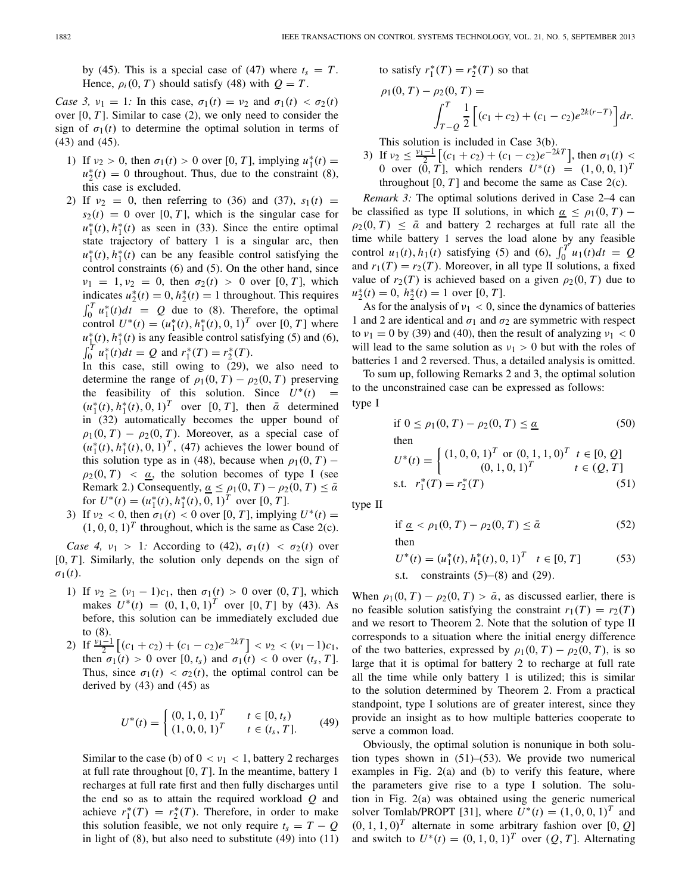by (45). This is a special case of (47) where  $t_s = T$ . Hence,  $\rho_i(0, T)$  should satisfy (48) with  $Q = T$ .

*Case 3,*  $v_1 = 1$ *:* In this case,  $\sigma_1(t) = v_2$  and  $\sigma_1(t) < \sigma_2(t)$ over [0, *T* ]. Similar to case (2), we only need to consider the sign of  $\sigma_1(t)$  to determine the optimal solution in terms of (43) and (45).

- 1) If  $v_2 > 0$ , then  $\sigma_1(t) > 0$  over [0, *T*], implying  $u_1^*(t) =$  $u_2^*(t) = 0$  throughout. Thus, due to the constraint (8), this case is excluded.
- 2) If  $v_2 = 0$ , then referring to (36) and (37),  $s_1(t) =$  $s_2(t) = 0$  over [0, *T*], which is the singular case for  $u_1^*(t)$ ,  $h_1^*(t)$  as seen in (33). Since the entire optimal state trajectory of battery 1 is a singular arc, then  $u_1^*(t)$ ,  $h_1^*(t)$  can be any feasible control satisfying the control constraints (6) and (5). On the other hand, since  $v_1 = 1, v_2 = 0$ , then  $\sigma_2(t) > 0$  over [0, *T*], which indicates  $u_2^*(t) = 0$ ,  $h_2^*(t) = 1$  throughout. This requires  $\int_0^T u_1^*(t)dt = Q$  due to (8). Therefore, the optimal control  $U^*(t) = (u_1^*(t), h_1^*(t), 0, 1)^T$  over  $[0, T]$  where  $u_{1,r}^*(t)$ ,  $h_1^*(t)$  is any feasible control satisfying (5) and (6),  $\int_0^T u_1^*(t)dt = Q$  and  $r_1^*(T) = r_2^*(T)$ .

In this case, still owing to (29), we also need to determine the range of  $\rho_1(0, T) - \rho_2(0, T)$  preserving the feasibility of this solution. Since  $U^*(t)$  $(u_1^*(t), h_1^*(t), 0, 1)^T$  over [0, *T*], then  $\bar{\alpha}$  determined in (32) automatically becomes the upper bound of  $\rho_1(0, T) - \rho_2(0, T)$ . Moreover, as a special case of  $(u_1^*(t), h_1^*(t), 0, 1)^T$ , (47) achieves the lower bound of this solution type as in (48), because when  $\rho_1(0, T)$  –  $\rho_2(0, T) < \alpha$ , the solution becomes of type I (see Remark 2.) Consequently,  $\alpha \leq \rho_1(0, T) - \rho_2(0, T) \leq \overline{\alpha}$ for  $U^*(t) = (u_1^*(t), h_1^*(t), 0, 1)^T$  over  $[0, T]$ .

3) If  $v_2 < 0$ , then  $\sigma_1(t) < 0$  over [0, *T*], implying  $U^*(t) =$  $(1, 0, 0, 1)^T$  throughout, which is the same as Case 2(c).

*Case 4,*  $\nu_1 > 1$ *:* According to (42),  $\sigma_1(t) < \sigma_2(t)$  over [0, *T* ]. Similarly, the solution only depends on the sign of  $\sigma_1(t)$ .

- 1) If  $v_2 \geq (v_1 1)c_1$ , then  $\sigma_1(t) > 0$  over  $(0, T]$ , which makes  $U^*(t) = (0, 1, 0, 1)^T$  over [0, *T*] by (43). As before, this solution can be immediately excluded due to (8).
- 2) If  $\frac{\nu_1 1}{2} \left[ (c_1 + c_2) + (c_1 c_2)e^{-2kT} \right] < \nu_2 < (\nu_1 1)c_1$ , then  $\sigma_1(t) > 0$  over  $[0, t_s)$  and  $\sigma_1(t) < 0$  over  $(t_s, T]$ . Thus, since  $\sigma_1(t) < \sigma_2(t)$ , the optimal control can be derived by (43) and (45) as

$$
U^*(t) = \begin{cases} (0, 1, 0, 1)^T & t \in [0, t_s) \\ (1, 0, 0, 1)^T & t \in (t_s, T]. \end{cases}
$$
(49)

Similar to the case (b) of  $0 < \nu_1 < 1$ , battery 2 recharges at full rate throughout [0, *T* ]. In the meantime, battery 1 recharges at full rate first and then fully discharges until the end so as to attain the required workload *Q* and achieve  $r_1^*(T) = r_2^*(T)$ . Therefore, in order to make this solution feasible, we not only require  $t_s = T - Q$ in light of (8), but also need to substitute (49) into (11)

to satisfy 
$$
r_1^*(T) = r_2^*(T)
$$
 so that

$$
\rho_1(0, T) - \rho_2(0, T) =
$$
  

$$
\int_{T-Q}^{T} \frac{1}{2} \left[ (c_1 + c_2) + (c_1 - c_2) e^{2k(r-T)} \right] dr.
$$

This solution is included in Case 3(b).

3) If  $v_2 \leq \frac{v_1-1}{2} \left[ (c_1+c_2) + (c_1-c_2)e^{-2kT} \right]$ , then  $\sigma_1(t) \leq$ 0 over  $(0, T]$ , which renders  $U^*(t) = (1, 0, 0, 1)^T$ throughout  $[0, T]$  and become the same as Case  $2(c)$ .

*Remark 3:* The optimal solutions derived in Case 2–4 can be classified as type II solutions, in which  $\alpha \leq \rho_1(0, T)$  –  $\rho_2(0, T) \leq \overline{\alpha}$  and battery 2 recharges at full rate all the time while battery 1 serves the load alone by any feasible control  $u_1(t)$ ,  $h_1(t)$  satisfying (5) and (6),  $\int_0^T u_1(t)dt = Q$ and  $r_1(T) = r_2(T)$ . Moreover, in all type II solutions, a fixed value of  $r_2(T)$  is achieved based on a given  $\rho_2(0, T)$  due to  $u_2^*(t) = 0$ ,  $h_2^*(t) = 1$  over [0, *T*].

As for the analysis of  $v_1 < 0$ , since the dynamics of batteries 1 and 2 are identical and  $\sigma_1$  and  $\sigma_2$  are symmetric with respect to  $v_1 = 0$  by (39) and (40), then the result of analyzing  $v_1 < 0$ will lead to the same solution as  $v_1 > 0$  but with the roles of batteries 1 and 2 reversed. Thus, a detailed analysis is omitted.

To sum up, following Remarks 2 and 3, the optimal solution to the unconstrained case can be expressed as follows: type I

if 
$$
0 \le \rho_1(0, T) - \rho_2(0, T) \le \underline{\alpha}
$$
 (50)  
then  

$$
U^*(t) = \begin{cases} (1, 0, 0, 1)^T \text{ or } (0, 1, 1, 0)^T \ t \in [0, Q] \\ (0, 1, 0, 1)^T \ t \in (0, T] \end{cases}
$$

$$
r_1^*(T) = r_2^*(T) \tag{51}
$$

type II

s.t. *r* <sup>∗</sup>

then

$$
\text{if } \underline{\alpha} < \rho_1(0, T) - \rho_2(0, T) \le \bar{\alpha} \tag{52}
$$

$$
U^*(t) = (u_1^*(t), h_1^*(t), 0, 1)^T \quad t \in [0, T]
$$
 (53)  
s.t. constraints (5)–(8) and (29).

When  $\rho_1(0, T) - \rho_2(0, T) > \bar{\alpha}$ , as discussed earlier, there is no feasible solution satisfying the constraint  $r_1(T) = r_2(T)$ and we resort to Theorem 2. Note that the solution of type II corresponds to a situation where the initial energy difference of the two batteries, expressed by  $\rho_1(0, T) - \rho_2(0, T)$ , is so large that it is optimal for battery 2 to recharge at full rate all the time while only battery 1 is utilized; this is similar to the solution determined by Theorem 2. From a practical standpoint, type I solutions are of greater interest, since they provide an insight as to how multiple batteries cooperate to serve a common load.

Obviously, the optimal solution is nonunique in both solution types shown in (51)–(53). We provide two numerical examples in Fig. 2(a) and (b) to verify this feature, where the parameters give rise to a type I solution. The solution in Fig. 2(a) was obtained using the generic numerical solver Tomlab/PROPT [31], where  $U^*(t) = (1, 0, 0, 1)^T$  and  $(0, 1, 1, 0)^T$  alternate in some arbitrary fashion over [0, *Q*] and switch to  $U^*(t) = (0, 1, 0, 1)^T$  over  $(Q, T]$ . Alternating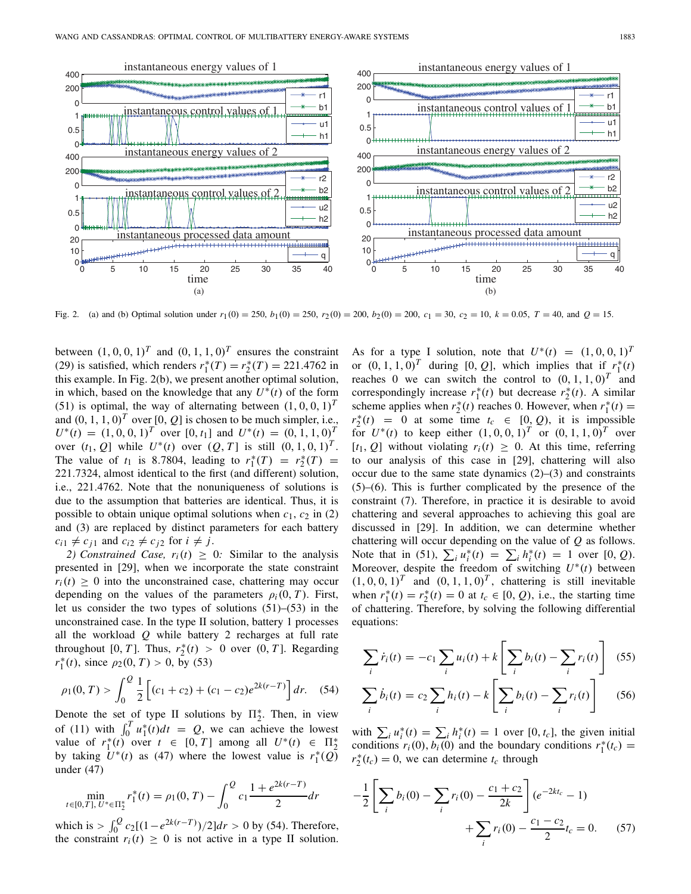

Fig. 2. (a) and (b) Optimal solution under  $r_1(0) = 250$ ,  $b_1(0) = 250$ ,  $r_2(0) = 200$ ,  $b_2(0) = 200$ ,  $c_1 = 30$ ,  $c_2 = 10$ ,  $k = 0.05$ ,  $T = 40$ , and  $Q = 15$ .

between  $(1, 0, 0, 1)^T$  and  $(0, 1, 1, 0)^T$  ensures the constraint (29) is satisfied, which renders  $r_1^*(T) = r_2^*(T) = 221.4762$  in this example. In Fig. 2(b), we present another optimal solution, in which, based on the knowledge that any  $U^*(t)$  of the form (51) is optimal, the way of alternating between  $(1, 0, 0, 1)^T$ and  $(0, 1, 1, 0)^T$  over  $[0, Q]$  is chosen to be much simpler, i.e.,  $U^*(t) = (1, 0, 0, 1)^T$  over  $[0, t_1]$  and  $U^*(t) = (0, 1, 1, 0)^T$ over  $(t_1, Q]$  while  $U^*(t)$  over  $(Q, T]$  is still  $(0, 1, 0, 1)^T$ . The value of  $t_1$  is 8.7804, leading to  $r_1^*(T) = r_2^*(T) =$ 221.7324, almost identical to the first (and different) solution, i.e., 221.4762. Note that the nonuniqueness of solutions is due to the assumption that batteries are identical. Thus, it is possible to obtain unique optimal solutions when  $c_1$ ,  $c_2$  in (2) and (3) are replaced by distinct parameters for each battery  $c_{i1} \neq c_{i1}$  and  $c_{i2} \neq c_{i2}$  for  $i \neq j$ .

*2) Constrained Case,*  $r_i(t) \geq 0$ *:* Similar to the analysis presented in [29], when we incorporate the state constraint  $r_i(t) > 0$  into the unconstrained case, chattering may occur depending on the values of the parameters  $\rho_i(0, T)$ . First, let us consider the two types of solutions (51)–(53) in the unconstrained case. In the type II solution, battery 1 processes all the workload *Q* while battery 2 recharges at full rate throughout [0, *T*]. Thus,  $r_2^*(t) > 0$  over (0, *T*]. Regarding  $r_1^*(t)$ , since  $\rho_2(0, T) > 0$ , by (53)

$$
\rho_1(0,T) > \int_0^Q \frac{1}{2} \left[ (c_1 + c_2) + (c_1 - c_2) e^{2k(r-T)} \right] dr. \quad (54)
$$

Denote the set of type II solutions by  $\Pi_2^*$ . Then, in view of (11) with  $\int_0^T u_1^*(t)dt = Q$ , we can achieve the lowest value of  $r_1^*(t)$  over  $t \in [0, T]$  among all  $U^*(t) \in \Pi_2^*$ by taking  $U^*(t)$  as (47) where the lowest value is  $r_1^*(Q)$ under (47)

$$
\min_{t \in [0,T], U^* \in \Pi_2^*} r_1^*(t) = \rho_1(0,T) - \int_0^{\mathcal{Q}} c_1 \frac{1 + e^{2k(r-T)}}{2} dr
$$

which is  $> \int_0^Q c_2[(1 - e^{2k(r-T)})/2]dr > 0$  by (54). Therefore, the constraint  $r_i(t) \geq 0$  is not active in a type II solution.

As for a type I solution, note that  $U^*(t) = (1, 0, 0, 1)^T$ or  $(0, 1, 1, 0)^T$  during  $[0, Q]$ , which implies that if  $r_1^*(t)$ reaches 0 we can switch the control to  $(0, 1, 1, 0)^T$  and correspondingly increase  $r_1^*(t)$  but decrease  $r_2^*(t)$ . A similar scheme applies when  $r_2^*(t)$  reaches 0. However, when  $r_1^*(t) =$  $r_2^*(t) = 0$  at some time  $t_c \in [0, Q)$ , it is impossible for  $U^*(t)$  to keep either  $(1, 0, 0, 1)^T$  or  $(0, 1, 1, 0)^T$  over  $[t_1, Q]$  without violating  $r_i(t) \geq 0$ . At this time, referring to our analysis of this case in [29], chattering will also occur due to the same state dynamics (2)–(3) and constraints (5)–(6). This is further complicated by the presence of the constraint (7). Therefore, in practice it is desirable to avoid chattering and several approaches to achieving this goal are discussed in [29]. In addition, we can determine whether chattering will occur depending on the value of *Q* as follows. Note that in (51),  $\sum_{i} u_i^*(t) = \sum_{i} h_i^*(t) = 1$  over [0, *Q*). Moreover, despite the freedom of switching  $U^*(t)$  between  $(1, 0, 0, 1)^T$  and  $(0, 1, 1, 0)^T$ , chattering is still inevitable when  $r_1^*(t) = r_2^*(t) = 0$  at  $t_c \in [0, Q)$ , i.e., the starting time of chattering. Therefore, by solving the following differential equations:

$$
\sum_{i} \dot{r}_i(t) = -c_1 \sum_{i} u_i(t) + k \left[ \sum_{i} b_i(t) - \sum_{i} r_i(t) \right] \tag{55}
$$

$$
\sum_{i} \dot{b}_i(t) = c_2 \sum_{i} h_i(t) - k \left[ \sum_{i} b_i(t) - \sum_{i} r_i(t) \right]
$$
 (56)

with  $\sum_i u_i^*(t) = \sum_i h_i^*(t) = 1$  over [0, t<sub>c</sub>], the given initial conditions  $r_i(0)$ ,  $b_i(0)$  and the boundary conditions  $r_1^*(t_c)$  =  $r_2^*(t_c) = 0$ , we can determine  $t_c$  through

$$
-\frac{1}{2}\left[\sum_{i}b_{i}(0)-\sum_{i}r_{i}(0)-\frac{c_{1}+c_{2}}{2k}\right](e^{-2kt_{c}}-1) + \sum_{i}r_{i}(0)-\frac{c_{1}-c_{2}}{2}t_{c}=0.
$$
 (57)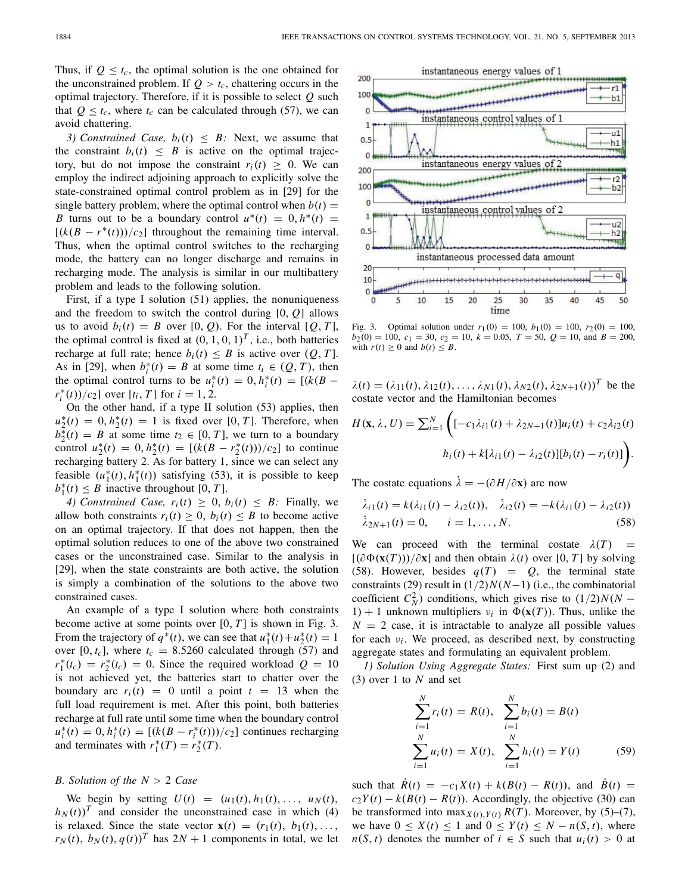Thus, if  $Q \leq t_c$ , the optimal solution is the one obtained for the unconstrained problem. If  $Q > t_c$ , chattering occurs in the optimal trajectory. Therefore, if it is possible to select *Q* such that  $Q \leq t_c$ , where  $t_c$  can be calculated through (57), we can avoid chattering.

*3) Constrained Case,*  $b_i(t) \leq B$ *: Next, we assume that* the constraint  $b_i(t) \leq B$  is active on the optimal trajectory, but do not impose the constraint  $r_i(t) \geq 0$ . We can employ the indirect adjoining approach to explicitly solve the state-constrained optimal control problem as in [29] for the single battery problem, where the optimal control when  $b(t) =$ *B* turns out to be a boundary control  $u^*(t) = 0, h^*(t) = 0$  $[(k(B - r^*(t)))/c_2]$  throughout the remaining time interval. Thus, when the optimal control switches to the recharging mode, the battery can no longer discharge and remains in recharging mode. The analysis is similar in our multibattery problem and leads to the following solution.

First, if a type I solution (51) applies, the nonuniqueness and the freedom to switch the control during [0, *Q*] allows us to avoid  $b_i(t) = B$  over [0, Q). For the interval [Q, T], the optimal control is fixed at  $(0, 1, 0, 1)^T$ , i.e., both batteries recharge at full rate; hence  $b_i(t) \leq B$  is active over  $(Q, T]$ . As in [29], when  $b_i^*(t) = B$  at some time  $t_i \in (Q, T)$ , then the optimal control turns to be  $u_i^*(t) = 0, h_i^*(t) = [(k(B$  $r_i^*(t)$ / $c_2$ ] over [ $t_i$ , *T*] for  $i = 1, 2$ .

On the other hand, if a type II solution (53) applies, then  $u_2^*(t) = 0, h_2^*(t) = 1$  is fixed over [0, *T*]. Therefore, when  $b_2^*(t) = B$  at some time  $t_2 \in [0, T]$ , we turn to a boundary control  $u_2^*(t) = 0, h_2^*(t) = [(k(B - r_2^*(t)))/c_2]$  to continue recharging battery 2. As for battery 1, since we can select any feasible  $(u_1^*(t), h_1^*(t))$  satisfying (53), it is possible to keep  $b_1^*(t) \leq B$  inactive throughout [0, *T*].

*4) Constrained Case,*  $r_i(t) \geq 0$ ,  $b_i(t) \leq B$ : Finally, we allow both constraints  $r_i(t) \geq 0$ ,  $b_i(t) \leq B$  to become active on an optimal trajectory. If that does not happen, then the optimal solution reduces to one of the above two constrained cases or the unconstrained case. Similar to the analysis in [29], when the state constraints are both active, the solution is simply a combination of the solutions to the above two constrained cases.

An example of a type I solution where both constraints become active at some points over  $[0, T]$  is shown in Fig. 3. From the trajectory of  $q^*(t)$ , we can see that  $u_1^*(t) + u_2^*(t) = 1$ over [0,  $t_c$ ], where  $t_c = 8.5260$  calculated through (57) and  $r_1^*(t_c) = r_2^*(t_c) = 0$ . Since the required workload  $Q = 10$ is not achieved yet, the batteries start to chatter over the boundary arc  $r_i(t) = 0$  until a point  $t = 13$  when the full load requirement is met. After this point, both batteries recharge at full rate until some time when the boundary control  $u_i^*(t) = 0, h_i^*(t) = [(k(B - r_i^*(t)))/c_2]$  continues recharging and terminates with  $r_1^*(T) = r_2^*(T)$ .

## *B. Solution of the N* > 2 *Case*

We begin by setting  $U(t) = (u_1(t), h_1(t), \dots, u_N(t))$ ,  $h_N(t)$ <sup>T</sup> and consider the unconstrained case in which (4) is relaxed. Since the state vector  $\mathbf{x}(t) = (r_1(t), b_1(t), \ldots,$  $r_N(t)$ ,  $b_N(t)$ ,  $q(t)$ <sup>T</sup> has  $2N + 1$  components in total, we let



Fig. 3. Optimal solution under  $r_1(0) = 100$ ,  $b_1(0) = 100$ ,  $r_2(0) = 100$ ,  $b_2(0) = 100$ ,  $c_1 = 30$ ,  $c_2 = 10$ ,  $k = 0.05$ ,  $T = 50$ ,  $Q = 10$ , and  $B = 200$ , with  $r(t) \geq 0$  and  $b(t) \leq B$ .

 $\lambda(t) = (\lambda_{11}(t), \lambda_{12}(t), \ldots, \lambda_{N1}(t), \lambda_{N2}(t), \lambda_{2N+1}(t))^T$  be the costate vector and the Hamiltonian becomes

$$
H(\mathbf{x}, \lambda, U) = \sum_{i=1}^{N} \bigg( [-c_1 \lambda_{i1}(t) + \lambda_{2N+1}(t)] u_i(t) + c_2 \lambda_{i2}(t) h_i(t) + k[\lambda_{i1}(t) - \lambda_{i2}(t)][b_i(t) - r_i(t)] \bigg).
$$

The costate equations  $\dot{\lambda} = -(\partial H/\partial x)$  are now

$$
\lambda_{i1}(t) = k(\lambda_{i1}(t) - \lambda_{i2}(t)), \quad \lambda_{i2}(t) = -k(\lambda_{i1}(t) - \lambda_{i2}(t))
$$
  

$$
\lambda_{2N+1}(t) = 0, \quad i = 1, ..., N.
$$
 (58)

We can proceed with the terminal costate  $\lambda(T)$  $[(\partial \Phi(\mathbf{x}(T)))/\partial \mathbf{x}]$  and then obtain  $\lambda(t)$  over [0, *T*] by solving (58). However, besides  $q(T) = Q$ , the terminal state constraints (29) result in  $(1/2)N(N-1)$  (i.e., the combinatorial coefficient  $C_N^2$ ) conditions, which gives rise to  $(1/2)N(N -$ 1) + 1 unknown multipliers  $v_i$  in  $\Phi(\mathbf{x}(T))$ . Thus, unlike the  $N = 2$  case, it is intractable to analyze all possible values for each  $v_i$ . We proceed, as described next, by constructing aggregate states and formulating an equivalent problem.

*1) Solution Using Aggregate States:* First sum up (2) and (3) over 1 to *N* and set

$$
\sum_{i=1}^{N} r_i(t) = R(t), \quad \sum_{i=1}^{N} b_i(t) = B(t)
$$
  

$$
\sum_{i=1}^{N} u_i(t) = X(t), \quad \sum_{i=1}^{N} h_i(t) = Y(t)
$$
 (59)

such that  $\dot{R}(t) = -c_1 X(t) + k(B(t) - R(t))$ , and  $\dot{B}(t) =$  $c_2Y(t) - k(B(t) - R(t))$ . Accordingly, the objective (30) can be transformed into  $\max_{X(t), Y(t)} R(T)$ . Moreover, by (5)–(7), we have  $0 \leq X(t) \leq 1$  and  $0 \leq Y(t) \leq N - n(S, t)$ , where  $n(S, t)$  denotes the number of  $i \in S$  such that  $u_i(t) > 0$  at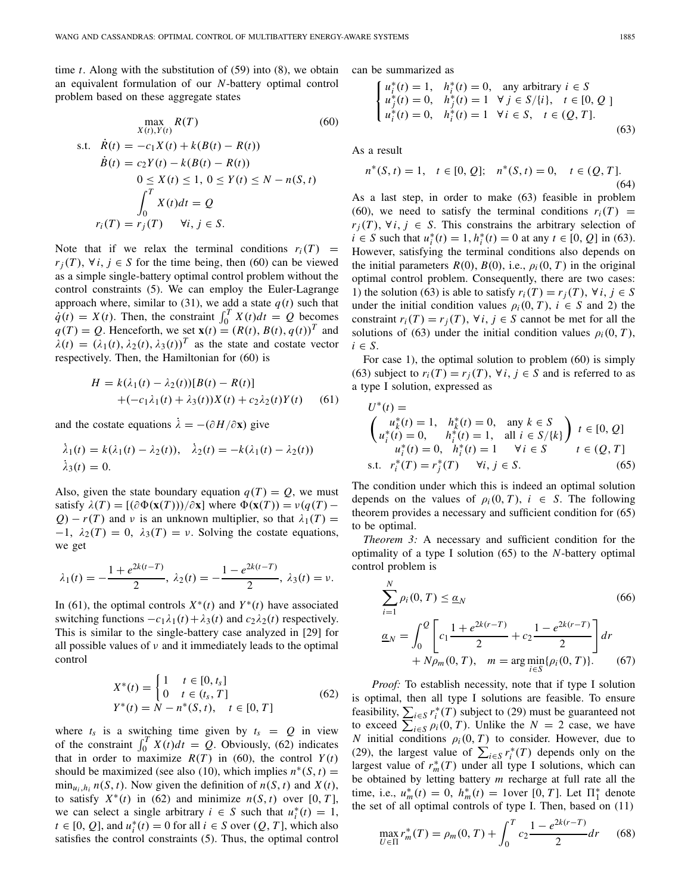time *t*. Along with the substitution of (59) into (8), we obtain an equivalent formulation of our *N*-battery optimal control problem based on these aggregate states

$$
\max_{X(t), Y(t)} R(T)
$$
(60)  
s.t. 
$$
\dot{R}(t) = -c_1 X(t) + k(B(t) - R(t))
$$

$$
\dot{B}(t) = c_2 Y(t) - k(B(t) - R(t))
$$

$$
0 \le X(t) \le 1, 0 \le Y(t) \le N - n(S, t)
$$

$$
\int_0^T X(t) dt = Q
$$

$$
r_i(T) = r_j(T) \quad \forall i, j \in S.
$$

Note that if we relax the terminal conditions  $r_i(T)$  = *r<sub>j</sub>*(*T*), ∀*i*, *j* ∈ *S* for the time being, then (60) can be viewed as a simple single-battery optimal control problem without the control constraints (5). We can employ the Euler-Lagrange approach where, similar to (31), we add a state  $q(t)$  such that  $\dot{q}(t) = X(t)$ . Then, the constraint  $\int_0^T X(t)dt = Q$  becomes  $q(T) = Q$ . Henceforth, we set  $\mathbf{x}(t) = (R(t), B(t), q(t))^T$  and  $\lambda(t) = (\lambda_1(t), \lambda_2(t), \lambda_3(t))^T$  as the state and costate vector respectively. Then, the Hamiltonian for (60) is

$$
H = k(\lambda_1(t) - \lambda_2(t))[B(t) - R(t)] + (-c_1\lambda_1(t) + \lambda_3(t))X(t) + c_2\lambda_2(t)Y(t)
$$
 (61)

and the costate equations  $\lambda = -(\partial H/\partial x)$  give

$$
\dot{\lambda}_1(t) = k(\lambda_1(t) - \lambda_2(t)), \quad \dot{\lambda}_2(t) = -k(\lambda_1(t) - \lambda_2(t))
$$
  

$$
\dot{\lambda}_3(t) = 0.
$$

Also, given the state boundary equation  $q(T) = Q$ , we must satisfy  $\lambda(T) = [(\partial \Phi(\mathbf{x}(T)))/\partial \mathbf{x}]$  where  $\Phi(\mathbf{x}(T)) = \nu(q(T))$  $Q$ ) − *r*(*T*) and *v* is an unknown multiplier, so that  $\lambda_1(T)$  =  $-1$ ,  $\lambda_2(T) = 0$ ,  $\lambda_3(T) = v$ . Solving the costate equations, we get

$$
\lambda_1(t) = -\frac{1 + e^{2k(t-T)}}{2}, \ \lambda_2(t) = -\frac{1 - e^{2k(t-T)}}{2}, \ \lambda_3(t) = \nu.
$$

In (61), the optimal controls  $X^*(t)$  and  $Y^*(t)$  have associated switching functions  $-c_1\lambda_1(t) + \lambda_3(t)$  and  $c_2\lambda_2(t)$  respectively. This is similar to the single-battery case analyzed in [29] for all possible values of  $\nu$  and it immediately leads to the optimal control

$$
X^*(t) = \begin{cases} 1 & t \in [0, t_s] \\ 0 & t \in (t_s, T] \end{cases}
$$
  
 
$$
Y^*(t) = N - n^*(S, t), \quad t \in [0, T]
$$
 (62)

where  $t_s$  is a switching time given by  $t_s = Q$  in view of the constraint  $\int_0^T X(t)dt = Q$ . Obviously, (62) indicates that in order to maximize  $R(T)$  in (60), the control  $Y(t)$ should be maximized (see also (10), which implies  $n*(S, t) =$  $\min_{u_i, h_i} n(S, t)$ . Now given the definition of  $n(S, t)$  and  $X(t)$ , to satisfy  $X^*(t)$  in (62) and minimize  $n(S, t)$  over [0, *T*], we can select a single arbitrary  $i \in S$  such that  $u_i^*(t) = 1$ ,  $t \in [0, Q]$ , and  $u_i^*(t) = 0$  for all  $i \in S$  over  $(Q, T]$ , which also satisfies the control constraints (5). Thus, the optimal control can be summarized as

$$
\begin{cases}\n u_i^*(t) = 1, & h_i^*(t) = 0, \text{ any arbitrary } i \in S \\
 u_j^*(t) = 0, & h_j^*(t) = 1 \quad \forall j \in S/\{i\}, & t \in [0, Q] \\
 u_i^*(t) = 0, & h_i^*(t) = 1 \quad \forall i \in S, & t \in (Q, T].\n\end{cases}
$$
\n(63)

As a result

$$
n^*(S, t) = 1, \quad t \in [0, Q]; \quad n^*(S, t) = 0, \quad t \in (Q, T].
$$
\n(64)

As a last step, in order to make (63) feasible in problem (60), we need to satisfy the terminal conditions  $r_i(T)$  =  $r_i(T)$ ,  $\forall i, j \in S$ . This constrains the arbitrary selection of *i* ∈ *S* such that  $u_i^*(t) = 1$ ,  $h_i^*(t) = 0$  at any  $t \in [0, Q]$  in (63). However, satisfying the terminal conditions also depends on the initial parameters  $R(0)$ ,  $B(0)$ , i.e.,  $\rho_i(0, T)$  in the original optimal control problem. Consequently, there are two cases: 1) the solution (63) is able to satisfy  $r_i(T) = r_j(T)$ ,  $\forall i, j \in S$ under the initial condition values  $\rho_i(0, T)$ ,  $i \in S$  and 2) the constraint  $r_i(T) = r_j(T)$ ,  $\forall i, j \in S$  cannot be met for all the solutions of (63) under the initial condition values  $\rho_i(0, T)$ ,  $i \in S$ .

For case 1), the optimal solution to problem (60) is simply (63) subject to  $r_i(T) = r_j(T)$ ,  $\forall i, j \in S$  and is referred to as a type I solution, expressed as

$$
U^*(t) =
$$
  
\n
$$
\begin{pmatrix} u_k^*(t) = 1, & h_k^*(t) = 0, & \text{any } k \in S \\ u_i^*(t) = 0, & h_i^*(t) = 1, & \text{all } i \in S/\{k\} \end{pmatrix} t \in [0, Q]
$$
  
\n
$$
u_i^*(t) = 0, & h_i^*(t) = 1 \quad \forall i \in S \quad t \in (Q, T]
$$
  
\ns.t.  $r_i^*(T) = r_j^*(T) \quad \forall i, j \in S.$  (65)

The condition under which this is indeed an optimal solution depends on the values of  $\rho_i(0, T)$ ,  $i \in S$ . The following theorem provides a necessary and sufficient condition for (65) to be optimal.

*Theorem 3:* A necessary and sufficient condition for the optimality of a type I solution (65) to the *N*-battery optimal control problem is

$$
\sum_{i=1}^{N} \rho_i(0, T) \le \underline{\alpha}_N
$$
\n
$$
\underline{\alpha}_N = \int_0^Q \left[ c_1 \frac{1 + e^{2k(r-T)}}{2} + c_2 \frac{1 - e^{2k(r-T)}}{2} \right] dr
$$
\n
$$
+ N \rho_m(0, T), \quad m = \arg \min_{i \in S} \{ \rho_i(0, T) \}. \tag{67}
$$

*Proof:* To establish necessity, note that if type I solution is optimal, then all type I solutions are feasible. To ensure feasibility,  $\sum_{i \in S} r_i^*(T)$  subject to (29) must be guaranteed not to exceed  $\sum_{i \in S} \rho_i(0, T)$ . Unlike the  $N = 2$  case, we have *N* initial conditions  $\rho_i(0, T)$  to consider. However, due to (29), the largest value of  $\sum_{i \in S} r_i^*(T)$  depends only on the largest value of  $r_m^*(T)$  under all type I solutions, which can be obtained by letting battery *m* recharge at full rate all the time, i.e.,  $u_m^*(t) = 0$ ,  $h_m^*(t) = 1$ over [0, *T*]. Let  $\Pi_1^*$  denote the set of all optimal controls of type I. Then, based on (11)

$$
\max_{U \in \Pi} r_m^*(T) = \rho_m(0, T) + \int_0^T c_2 \frac{1 - e^{2k(r - T)}}{2} dr \qquad (68)
$$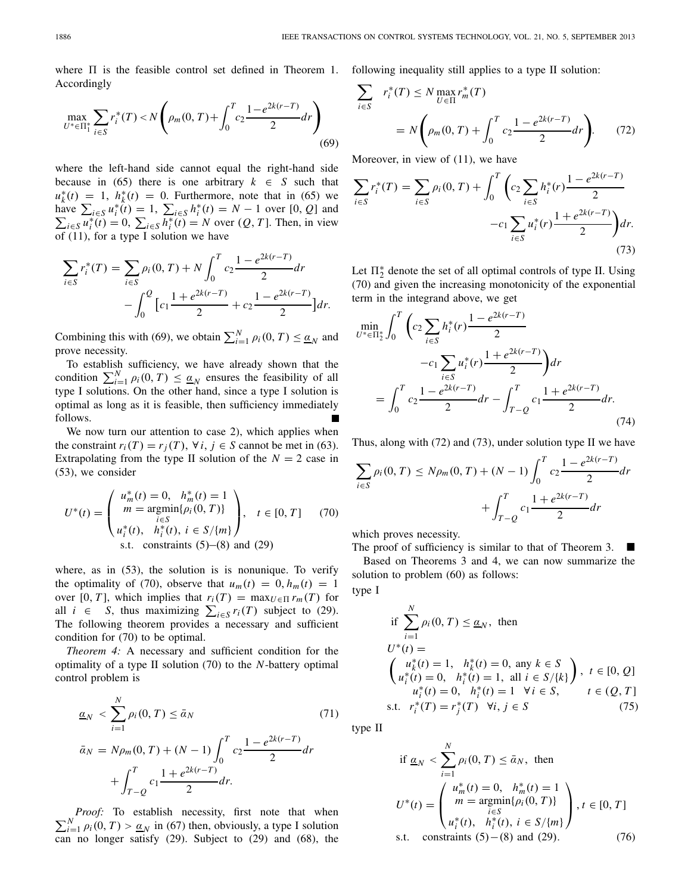where  $\Pi$  is the feasible control set defined in Theorem 1. following inequality still applies to a type  $\Pi$  solution: Accordingly

$$
\max_{U^* \in \Pi_1^*} \sum_{i \in S} r_i^*(T) < N \left( \rho_m(0, T) + \int_0^T c_2 \frac{1 - e^{2k(r - T)}}{2} dr \right) \tag{69}
$$

where the left-hand side cannot equal the right-hand side because in (65) there is one arbitrary  $k \in S$  such that  $u_k^*(t) = 1$ ,  $h_k^*(t) = 0$ . Furthermore, note that in (65) we  $\sum_{i \in S} u_i^*(t) = 1, \sum_{i \in S} h_i^*(t) = N - 1$  over [0, *Q*] and  $\sum_{i \in S} u_i^*(i) = 0$ ,  $\sum_{i \in S} h_i^*(i) = N$  over  $(Q, T]$ . Then, in view of  $(11)$ , for a type I solution we have

$$
\sum_{i \in S} r_i^*(T) = \sum_{i \in S} \rho_i(0, T) + N \int_0^T c_2 \frac{1 - e^{2k(r-T)}}{2} dr
$$

$$
- \int_0^Q \left[ c_1 \frac{1 + e^{2k(r-T)}}{2} + c_2 \frac{1 - e^{2k(r-T)}}{2} \right] dr.
$$

Combining this with (69), we obtain  $\sum_{i=1}^{N} \rho_i(0, T) \leq \underline{\alpha}_N$  and prove necessity.

To establish sufficiency, we have already shown that the condition  $\sum_{i=1}^{N} \rho_i(0, T) \leq \underline{\alpha}_N$  ensures the feasibility of all type I solutions. On the other hand, since a type I solution is optimal as long as it is feasible, then sufficiency immediately follows.

We now turn our attention to case 2), which applies when the constraint  $r_i(T) = r_j(T)$ ,  $\forall i, j \in S$  cannot be met in (63). Extrapolating from the type II solution of the  $N = 2$  case in (53), we consider

$$
U^*(t) = \begin{pmatrix} u_m^*(t) = 0, & h_m^*(t) = 1 \\ m = \underset{i \in S}{\text{argmin}} \{\rho_i(0, T)\} \\ u_i^*(t), & h_i^*(t), & i \in S/\{m\} \\ \text{s.t. constraints (5)–(8) and (29)} \end{pmatrix}, \quad t \in [0, T] \tag{70}
$$

where, as in (53), the solution is is nonunique. To verify the optimality of (70), observe that  $u_m(t) = 0$ ,  $h_m(t) = 1$ over [0, *T*], which implies that  $r_i(T) = \max_{U \in \Pi} r_m(T)$  for all  $i \in S$ , thus maximizing  $\sum_{i \in S} r_i(T)$  subject to (29). The following theorem provides a necessary and sufficient condition for (70) to be optimal.

*Theorem 4:* A necessary and sufficient condition for the optimality of a type II solution (70) to the *N*-battery optimal control problem is

$$
\underline{\alpha}_N < \sum_{i=1}^N \rho_i(0, T) \le \bar{\alpha}_N \tag{71}
$$
\n
$$
\bar{\alpha}_N = N \rho_m(0, T) + (N - 1) \int_0^T c_2 \frac{1 - e^{2k(r - T)}}{2} dr
$$
\n
$$
+ \int_{T - Q}^T c_1 \frac{1 + e^{2k(r - T)}}{2} dr.
$$

 $\sum_{i=1}^{N} \rho_i(0, T) > \underline{\alpha}_N$  in (67) then, obviously, a type I solution *Proof:* To establish necessity, first note that when can no longer satisfy  $(29)$ . Subject to  $(29)$  and  $(68)$ , the

$$
\sum_{i \in S} r_i^*(T) \le N \max_{U \in \Pi} r_m^*(T)
$$
  
=  $N \left( \rho_m(0, T) + \int_0^T c_2 \frac{1 - e^{2k(r - T)}}{2} dr \right).$  (72)

Moreover, in view of (11), we have

$$
\sum_{i \in S} r_i^*(T) = \sum_{i \in S} \rho_i(0, T) + \int_0^T \left( c_2 \sum_{i \in S} h_i^*(r) \frac{1 - e^{2k(r - T)}}{2} -c_1 \sum_{i \in S} u_i^*(r) \frac{1 + e^{2k(r - T)}}{2} \right) dr.
$$
\n(73)

Let  $\Pi_2^*$  denote the set of all optimal controls of type II. Using (70) and given the increasing monotonicity of the exponential term in the integrand above, we get

$$
\min_{U^* \in \Pi_2^*} \int_0^T \left( c_2 \sum_{i \in S} h_i^*(r) \frac{1 - e^{2k(r-T)}}{2} + c_1 \sum_{i \in S} u_i^*(r) \frac{1 + e^{2k(r-T)}}{2} \right) dr
$$
\n
$$
= \int_0^T c_2 \frac{1 - e^{2k(r-T)}}{2} dr - \int_{T-Q}^T c_1 \frac{1 + e^{2k(r-T)}}{2} dr. \tag{74}
$$

Thus, along with (72) and (73), under solution type II we have

$$
\sum_{i \in S} \rho_i(0, T) \le N \rho_m(0, T) + (N - 1) \int_0^T c_2 \frac{1 - e^{2k(r - T)}}{2} dr
$$

$$
+ \int_{T - Q}^T c_1 \frac{1 + e^{2k(r - T)}}{2} dr
$$

which proves necessity.

The proof of sufficiency is similar to that of Theorem 3.  $\blacksquare$ Based on Theorems 3 and 4, we can now summarize the solution to problem (60) as follows:

type I

if 
$$
\sum_{i=1}^{N} \rho_i(0, T) \le \underline{\alpha}_N
$$
, then  
\n
$$
U^*(t) = \begin{cases} u_k^*(t) = 1, & h_k^*(t) = 0, \text{ any } k \in S \\ u_i^*(t) = 0, & h_i^*(t) = 1, \text{ all } i \in S/k \end{cases}, t \in [0, Q]
$$
\n
$$
u_i^*(t) = 0, & h_i^*(t) = 1 \quad \forall i \in S, \quad t \in (Q, T]
$$
\ns.t.  $r_i^*(T) = r_j^*(T) \quad \forall i, j \in S$  (75)

type II

if 
$$
\underline{\alpha}_N < \sum_{i=1}^N \rho_i(0, T) \le \bar{\alpha}_N
$$
, then  
\n
$$
U^*(t) = \begin{pmatrix} u_m^*(t) = 0, & h_m^*(t) = 1 \\ m = \operatorname*{argmin}_{i \in S} \{\rho_i(0, T)\} \\ u_i^*(t), & h_i^*(t), i \in S/\{m\} \end{pmatrix}, t \in [0, T]
$$
\ns.t. constraints (5)–(8) and (29). (76)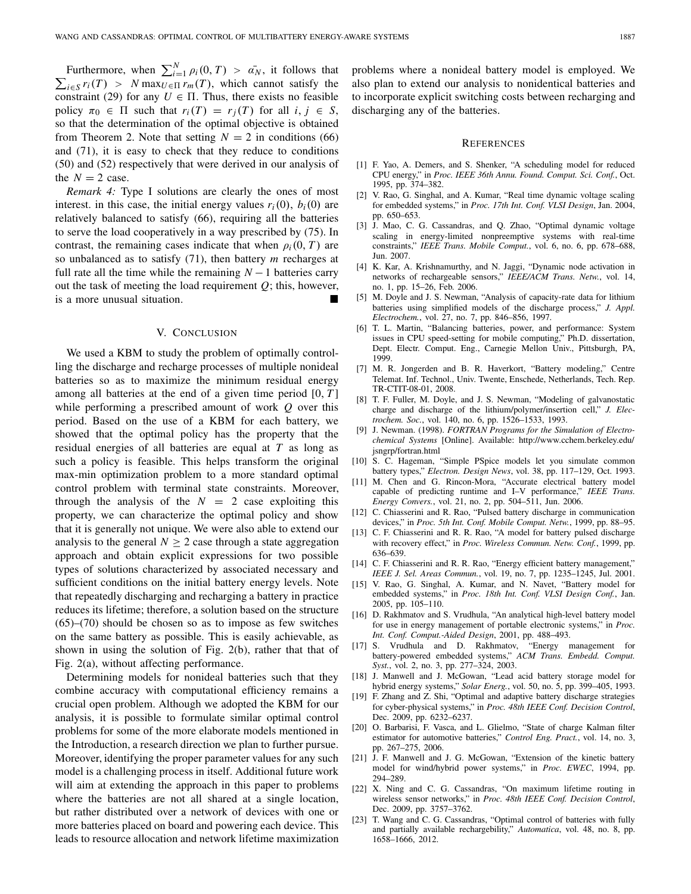Furthermore, when  $\sum_{i=1}^{N} \rho_i(0, T) > \bar{\alpha_N}$ , it follows that  $\sum_{i \in S} r_i(T)$  > *N* max $U \in \Pi$   $r_m(T)$ , which cannot satisfy the constraint (29) for any  $U \in \Pi$ . Thus, there exists no feasible policy  $\pi_0 \in \Pi$  such that  $r_i(T) = r_j(T)$  for all  $i, j \in S$ , so that the determination of the optimal objective is obtained from Theorem 2. Note that setting  $N = 2$  in conditions (66) and (71), it is easy to check that they reduce to conditions (50) and (52) respectively that were derived in our analysis of the  $N = 2$  case.

*Remark 4:* Type I solutions are clearly the ones of most interest. in this case, the initial energy values  $r_i(0)$ ,  $b_i(0)$  are relatively balanced to satisfy (66), requiring all the batteries to serve the load cooperatively in a way prescribed by (75). In contrast, the remaining cases indicate that when  $\rho_i(0, T)$  are so unbalanced as to satisfy (71), then battery *m* recharges at full rate all the time while the remaining  $N - 1$  batteries carry out the task of meeting the load requirement *Q*; this, however, is a more unusual situation.

#### V. CONCLUSION

We used a KBM to study the problem of optimally controlling the discharge and recharge processes of multiple nonideal batteries so as to maximize the minimum residual energy among all batteries at the end of a given time period [0, *T* ] while performing a prescribed amount of work *Q* over this period. Based on the use of a KBM for each battery, we showed that the optimal policy has the property that the residual energies of all batteries are equal at *T* as long as such a policy is feasible. This helps transform the original max-min optimization problem to a more standard optimal control problem with terminal state constraints. Moreover, through the analysis of the  $N = 2$  case exploiting this property, we can characterize the optimal policy and show that it is generally not unique. We were also able to extend our analysis to the general  $N \geq 2$  case through a state aggregation approach and obtain explicit expressions for two possible types of solutions characterized by associated necessary and sufficient conditions on the initial battery energy levels. Note that repeatedly discharging and recharging a battery in practice reduces its lifetime; therefore, a solution based on the structure (65)–(70) should be chosen so as to impose as few switches on the same battery as possible. This is easily achievable, as shown in using the solution of Fig. 2(b), rather that that of Fig. 2(a), without affecting performance.

Determining models for nonideal batteries such that they combine accuracy with computational efficiency remains a crucial open problem. Although we adopted the KBM for our analysis, it is possible to formulate similar optimal control problems for some of the more elaborate models mentioned in the Introduction, a research direction we plan to further pursue. Moreover, identifying the proper parameter values for any such model is a challenging process in itself. Additional future work will aim at extending the approach in this paper to problems where the batteries are not all shared at a single location, but rather distributed over a network of devices with one or more batteries placed on board and powering each device. This leads to resource allocation and network lifetime maximization

problems where a nonideal battery model is employed. We also plan to extend our analysis to nonidentical batteries and to incorporate explicit switching costs between recharging and discharging any of the batteries.

#### **REFERENCES**

- [1] F. Yao, A. Demers, and S. Shenker, "A scheduling model for reduced CPU energy," in *Proc. IEEE 36th Annu. Found. Comput. Sci. Conf.*, Oct. 1995, pp. 374–382.
- [2] V. Rao, G. Singhal, and A. Kumar, "Real time dynamic voltage scaling for embedded systems," in *Proc. 17th Int. Conf. VLSI Design*, Jan. 2004, pp. 650–653.
- [3] J. Mao, C. G. Cassandras, and O. Zhao, "Optimal dynamic voltage scaling in energy-limited nonpreemptive systems with real-time constraints," *IEEE Trans. Mobile Comput.*, vol. 6, no. 6, pp. 678–688, Jun. 2007.
- [4] K. Kar, A. Krishnamurthy, and N. Jaggi, "Dynamic node activation in networks of rechargeable sensors," *IEEE/ACM Trans. Netw.*, vol. 14, no. 1, pp. 15–26, Feb. 2006.
- [5] M. Doyle and J. S. Newman, "Analysis of capacity-rate data for lithium batteries using simplified models of the discharge process," *J. Appl. Electrochem.*, vol. 27, no. 7, pp. 846–856, 1997.
- [6] T. L. Martin, "Balancing batteries, power, and performance: System issues in CPU speed-setting for mobile computing," Ph.D. dissertation, Dept. Electr. Comput. Eng., Carnegie Mellon Univ., Pittsburgh, PA, 1999.
- [7] M. R. Jongerden and B. R. Haverkort, "Battery modeling," Centre Telemat. Inf. Technol., Univ. Twente, Enschede, Netherlands, Tech. Rep. TR-CTIT-08-01, 2008.
- [8] T. F. Fuller, M. Doyle, and J. S. Newman, "Modeling of galvanostatic charge and discharge of the lithium/polymer/insertion cell," *J. Electrochem. Soc.*, vol. 140, no. 6, pp. 1526–1533, 1993.
- [9] J. Newman. (1998). *FORTRAN Programs for the Simulation of Electrochemical Systems* [Online]. Available: http://www.cchem.berkeley.edu/ jsngrp/fortran.html
- [10] S. C. Hageman, "Simple PSpice models let you simulate common battery types," *Electron. Design News*, vol. 38, pp. 117–129, Oct. 1993.
- [11] M. Chen and G. Rincon-Mora, "Accurate electrical battery model capable of predicting runtime and I–V performance," *IEEE Trans. Energy Convers.*, vol. 21, no. 2, pp. 504–511, Jun. 2006.
- [12] C. Chiasserini and R. Rao, "Pulsed battery discharge in communication devices," in *Proc. 5th Int. Conf. Mobile Comput. Netw.*, 1999, pp. 88–95.
- [13] C. F. Chiasserini and R. R. Rao, "A model for battery pulsed discharge with recovery effect," in *Proc. Wireless Commun. Netw. Conf.*, 1999, pp. 636–639.
- [14] C. F. Chiasserini and R. R. Rao, "Energy efficient battery management," *IEEE J. Sel. Areas Commun.*, vol. 19, no. 7, pp. 1235–1245, Jul. 2001.
- [15] V. Rao, G. Singhal, A. Kumar, and N. Navet, "Battery model for embedded systems," in *Proc. 18th Int. Conf. VLSI Design Conf.*, Jan. 2005, pp. 105–110.
- [16] D. Rakhmatov and S. Vrudhula, "An analytical high-level battery model for use in energy management of portable electronic systems," in *Proc. Int. Conf. Comput.-Aided Design*, 2001, pp. 488–493.
- [17] S. Vrudhula and D. Rakhmatov, "Energy management for battery-powered embedded systems," *ACM Trans. Embedd. Comput. Syst.*, vol. 2, no. 3, pp. 277–324, 2003.
- [18] J. Manwell and J. McGowan, "Lead acid battery storage model for hybrid energy systems," *Solar Energ.*, vol. 50, no. 5, pp. 399–405, 1993.
- [19] F. Zhang and Z. Shi, "Optimal and adaptive battery discharge strategies for cyber-physical systems," in *Proc. 48th IEEE Conf. Decision Control*, Dec. 2009, pp. 6232–6237.
- [20] O. Barbarisi, F. Vasca, and L. Glielmo, "State of charge Kalman filter estimator for automotive batteries," *Control Eng. Pract.*, vol. 14, no. 3, pp. 267–275, 2006.
- [21] J. F. Manwell and J. G. McGowan, "Extension of the kinetic battery model for wind/hybrid power systems," in *Proc. EWEC*, 1994, pp. 294–289.
- [22] X. Ning and C. G. Cassandras, "On maximum lifetime routing in wireless sensor networks," in *Proc. 48th IEEE Conf. Decision Control*, Dec. 2009, pp. 3757–3762.
- [23] T. Wang and C. G. Cassandras, "Optimal control of batteries with fully and partially available rechargebility," *Automatica*, vol. 48, no. 8, pp. 1658–1666, 2012.